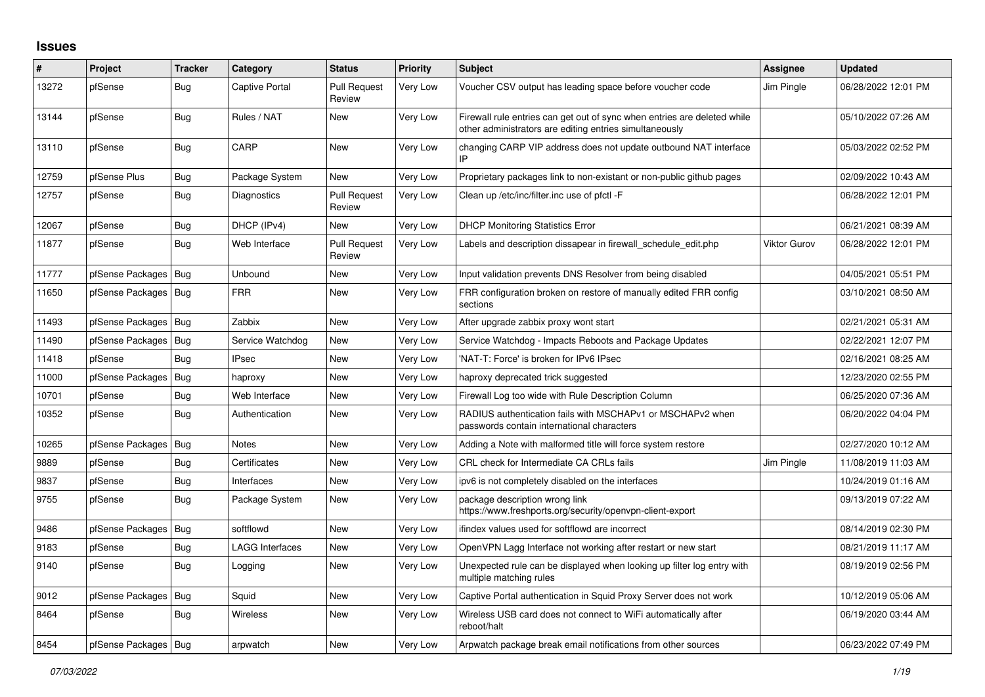## **Issues**

| #     | Project                | <b>Tracker</b> | Category               | <b>Status</b>                 | <b>Priority</b> | <b>Subject</b>                                                                                                                      | <b>Assignee</b> | <b>Updated</b>      |
|-------|------------------------|----------------|------------------------|-------------------------------|-----------------|-------------------------------------------------------------------------------------------------------------------------------------|-----------------|---------------------|
| 13272 | pfSense                | <b>Bug</b>     | <b>Captive Portal</b>  | <b>Pull Request</b><br>Review | Very Low        | Voucher CSV output has leading space before voucher code                                                                            | Jim Pingle      | 06/28/2022 12:01 PM |
| 13144 | pfSense                | <b>Bug</b>     | Rules / NAT            | <b>New</b>                    | Very Low        | Firewall rule entries can get out of sync when entries are deleted while<br>other administrators are editing entries simultaneously |                 | 05/10/2022 07:26 AM |
| 13110 | pfSense                | Bug            | CARP                   | <b>New</b>                    | Very Low        | changing CARP VIP address does not update outbound NAT interface<br>IP                                                              |                 | 05/03/2022 02:52 PM |
| 12759 | pfSense Plus           | <b>Bug</b>     | Package System         | <b>New</b>                    | Very Low        | Proprietary packages link to non-existant or non-public github pages                                                                |                 | 02/09/2022 10:43 AM |
| 12757 | pfSense                | Bug            | Diagnostics            | <b>Pull Request</b><br>Review | Very Low        | Clean up /etc/inc/filter.inc use of pfctl -F                                                                                        |                 | 06/28/2022 12:01 PM |
| 12067 | pfSense                | <b>Bug</b>     | DHCP (IPv4)            | <b>New</b>                    | Very Low        | <b>DHCP Monitoring Statistics Error</b>                                                                                             |                 | 06/21/2021 08:39 AM |
| 11877 | pfSense                | <b>Bug</b>     | Web Interface          | <b>Pull Request</b><br>Review | Very Low        | Labels and description dissapear in firewall schedule edit.php                                                                      | Viktor Gurov    | 06/28/2022 12:01 PM |
| 11777 | pfSense Packages   Bug |                | Unbound                | <b>New</b>                    | Very Low        | Input validation prevents DNS Resolver from being disabled                                                                          |                 | 04/05/2021 05:51 PM |
| 11650 | pfSense Packages       | Bug            | <b>FRR</b>             | <b>New</b>                    | Very Low        | FRR configuration broken on restore of manually edited FRR config<br>sections                                                       |                 | 03/10/2021 08:50 AM |
| 11493 | pfSense Packages   Bug |                | Zabbix                 | New                           | Very Low        | After upgrade zabbix proxy wont start                                                                                               |                 | 02/21/2021 05:31 AM |
| 11490 | pfSense Packages       | Bug            | Service Watchdog       | New                           | Very Low        | Service Watchdog - Impacts Reboots and Package Updates                                                                              |                 | 02/22/2021 12:07 PM |
| 11418 | pfSense                | <b>Bug</b>     | <b>IPsec</b>           | <b>New</b>                    | Very Low        | 'NAT-T: Force' is broken for IPv6 IPsec                                                                                             |                 | 02/16/2021 08:25 AM |
| 11000 | pfSense Packages       | <b>Bug</b>     | haproxy                | New                           | Very Low        | haproxy deprecated trick suggested                                                                                                  |                 | 12/23/2020 02:55 PM |
| 10701 | pfSense                | Bug            | Web Interface          | <b>New</b>                    | Very Low        | Firewall Log too wide with Rule Description Column                                                                                  |                 | 06/25/2020 07:36 AM |
| 10352 | pfSense                | Bug            | Authentication         | New                           | Very Low        | RADIUS authentication fails with MSCHAPv1 or MSCHAPv2 when<br>passwords contain international characters                            |                 | 06/20/2022 04:04 PM |
| 10265 | pfSense Packages       | Bug            | <b>Notes</b>           | <b>New</b>                    | Very Low        | Adding a Note with malformed title will force system restore                                                                        |                 | 02/27/2020 10:12 AM |
| 9889  | pfSense                | Bug            | Certificates           | <b>New</b>                    | Very Low        | CRL check for Intermediate CA CRLs fails                                                                                            | Jim Pingle      | 11/08/2019 11:03 AM |
| 9837  | pfSense                | <b>Bug</b>     | Interfaces             | New                           | Very Low        | ipv6 is not completely disabled on the interfaces                                                                                   |                 | 10/24/2019 01:16 AM |
| 9755  | pfSense                | <b>Bug</b>     | Package System         | <b>New</b>                    | Very Low        | package description wrong link<br>https://www.freshports.org/security/openvpn-client-export                                         |                 | 09/13/2019 07:22 AM |
| 9486  | pfSense Packages       | Bug            | softflowd              | <b>New</b>                    | Very Low        | ifindex values used for softflowd are incorrect                                                                                     |                 | 08/14/2019 02:30 PM |
| 9183  | pfSense                | Bug            | <b>LAGG Interfaces</b> | New                           | Very Low        | OpenVPN Lagg Interface not working after restart or new start                                                                       |                 | 08/21/2019 11:17 AM |
| 9140  | pfSense                | Bug            | Logging                | New                           | Very Low        | Unexpected rule can be displayed when looking up filter log entry with<br>multiple matching rules                                   |                 | 08/19/2019 02:56 PM |
| 9012  | pfSense Packages       | Bug            | Squid                  | <b>New</b>                    | Very Low        | Captive Portal authentication in Squid Proxy Server does not work                                                                   |                 | 10/12/2019 05:06 AM |
| 8464  | pfSense                | <b>Bug</b>     | Wireless               | <b>New</b>                    | Very Low        | Wireless USB card does not connect to WiFi automatically after<br>reboot/halt                                                       |                 | 06/19/2020 03:44 AM |
| 8454  | pfSense Packages   Bug |                | arpwatch               | <b>New</b>                    | Very Low        | Arpwatch package break email notifications from other sources                                                                       |                 | 06/23/2022 07:49 PM |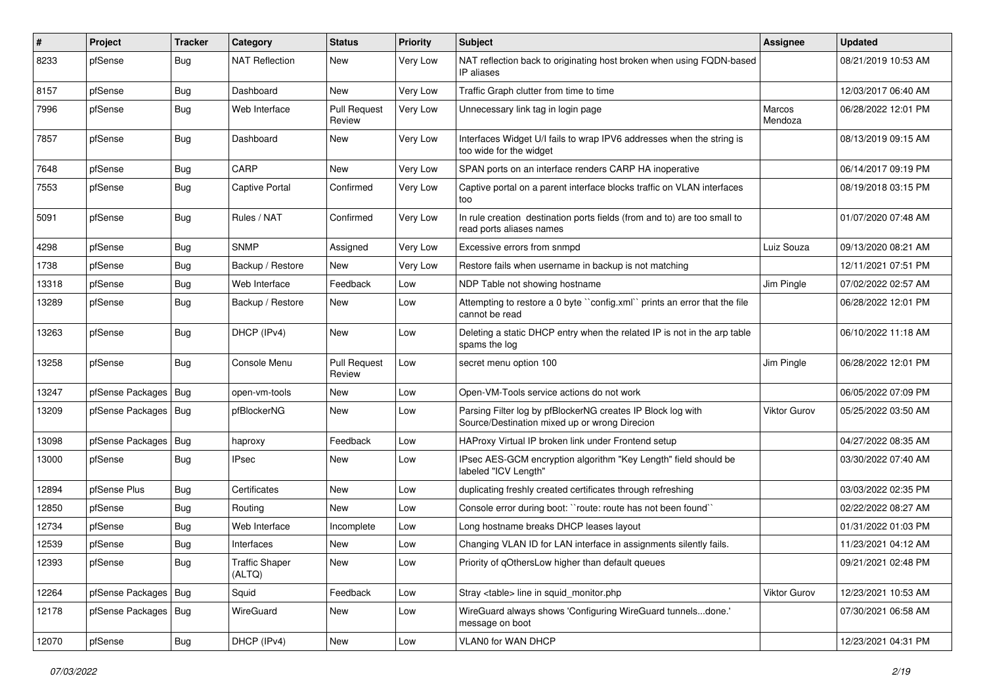| #     | Project                | <b>Tracker</b> | Category                        | <b>Status</b>                 | <b>Priority</b> | Subject                                                                                                      | Assignee            | <b>Updated</b>      |
|-------|------------------------|----------------|---------------------------------|-------------------------------|-----------------|--------------------------------------------------------------------------------------------------------------|---------------------|---------------------|
| 8233  | pfSense                | Bug            | <b>NAT Reflection</b>           | New                           | Very Low        | NAT reflection back to originating host broken when using FQDN-based<br>IP aliases                           |                     | 08/21/2019 10:53 AM |
| 8157  | pfSense                | Bug            | Dashboard                       | <b>New</b>                    | Very Low        | Traffic Graph clutter from time to time                                                                      |                     | 12/03/2017 06:40 AM |
| 7996  | pfSense                | Bug            | Web Interface                   | <b>Pull Request</b><br>Review | Very Low        | Unnecessary link tag in login page                                                                           | Marcos<br>Mendoza   | 06/28/2022 12:01 PM |
| 7857  | pfSense                | Bug            | Dashboard                       | New                           | Very Low        | Interfaces Widget U/I fails to wrap IPV6 addresses when the string is<br>too wide for the widget             |                     | 08/13/2019 09:15 AM |
| 7648  | pfSense                | <b>Bug</b>     | CARP                            | <b>New</b>                    | Very Low        | SPAN ports on an interface renders CARP HA inoperative                                                       |                     | 06/14/2017 09:19 PM |
| 7553  | pfSense                | Bug            | <b>Captive Portal</b>           | Confirmed                     | Very Low        | Captive portal on a parent interface blocks traffic on VLAN interfaces<br>too                                |                     | 08/19/2018 03:15 PM |
| 5091  | pfSense                | Bug            | Rules / NAT                     | Confirmed                     | Very Low        | In rule creation destination ports fields (from and to) are too small to<br>read ports aliases names         |                     | 01/07/2020 07:48 AM |
| 4298  | pfSense                | Bug            | <b>SNMP</b>                     | Assigned                      | Very Low        | Excessive errors from snmpd                                                                                  | Luiz Souza          | 09/13/2020 08:21 AM |
| 1738  | pfSense                | <b>Bug</b>     | Backup / Restore                | New                           | Very Low        | Restore fails when username in backup is not matching                                                        |                     | 12/11/2021 07:51 PM |
| 13318 | pfSense                | <b>Bug</b>     | Web Interface                   | Feedback                      | Low             | NDP Table not showing hostname                                                                               | Jim Pingle          | 07/02/2022 02:57 AM |
| 13289 | pfSense                | Bug            | Backup / Restore                | New                           | Low             | Attempting to restore a 0 byte "config.xml" prints an error that the file<br>cannot be read                  |                     | 06/28/2022 12:01 PM |
| 13263 | pfSense                | Bug            | DHCP (IPv4)                     | <b>New</b>                    | Low             | Deleting a static DHCP entry when the related IP is not in the arp table<br>spams the log                    |                     | 06/10/2022 11:18 AM |
| 13258 | pfSense                | Bug            | Console Menu                    | <b>Pull Request</b><br>Review | Low             | secret menu option 100                                                                                       | Jim Pingle          | 06/28/2022 12:01 PM |
| 13247 | pfSense Packages       | Bug            | open-vm-tools                   | New                           | Low             | Open-VM-Tools service actions do not work                                                                    |                     | 06/05/2022 07:09 PM |
| 13209 | pfSense Packages   Bug |                | pfBlockerNG                     | New                           | Low             | Parsing Filter log by pfBlockerNG creates IP Block log with<br>Source/Destination mixed up or wrong Direcion | <b>Viktor Gurov</b> | 05/25/2022 03:50 AM |
| 13098 | pfSense Packages       | Bug            | haproxy                         | Feedback                      | Low             | HAProxy Virtual IP broken link under Frontend setup                                                          |                     | 04/27/2022 08:35 AM |
| 13000 | pfSense                | Bug            | <b>IPsec</b>                    | New                           | Low             | IPsec AES-GCM encryption algorithm "Key Length" field should be<br>labeled "ICV Length"                      |                     | 03/30/2022 07:40 AM |
| 12894 | pfSense Plus           | Bug            | Certificates                    | <b>New</b>                    | Low             | duplicating freshly created certificates through refreshing                                                  |                     | 03/03/2022 02:35 PM |
| 12850 | pfSense                | <b>Bug</b>     | Routing                         | <b>New</b>                    | Low             | Console error during boot: "route: route has not been found"                                                 |                     | 02/22/2022 08:27 AM |
| 12734 | pfSense                | <b>Bug</b>     | Web Interface                   | Incomplete                    | Low             | Long hostname breaks DHCP leases layout                                                                      |                     | 01/31/2022 01:03 PM |
| 12539 | pfSense                | Bug            | Interfaces                      | New                           | Low             | Changing VLAN ID for LAN interface in assignments silently fails.                                            |                     | 11/23/2021 04:12 AM |
| 12393 | pfSense                | <b>Bug</b>     | <b>Traffic Shaper</b><br>(ALTQ) | New                           | Low             | Priority of qOthersLow higher than default queues                                                            |                     | 09/21/2021 02:48 PM |
| 12264 | pfSense Packages   Bug |                | Squid                           | Feedback                      | Low             | Stray <table> line in squid_monitor.php</table>                                                              | Viktor Gurov        | 12/23/2021 10:53 AM |
| 12178 | pfSense Packages   Bug |                | WireGuard                       | New                           | Low             | WireGuard always shows 'Configuring WireGuard tunnelsdone.'<br>message on boot                               |                     | 07/30/2021 06:58 AM |
| 12070 | pfSense                | <b>Bug</b>     | DHCP (IPv4)                     | New                           | Low             | VLAN0 for WAN DHCP                                                                                           |                     | 12/23/2021 04:31 PM |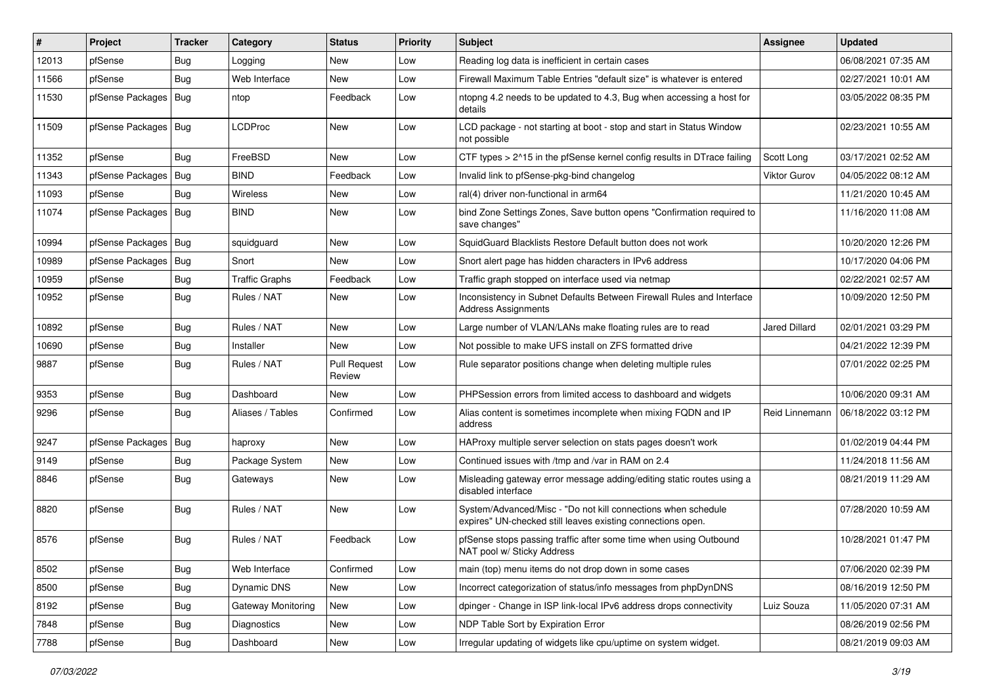| ∦     | Project                | <b>Tracker</b> | Category              | <b>Status</b>                 | <b>Priority</b> | <b>Subject</b>                                                                                                               | <b>Assignee</b>      | <b>Updated</b>      |
|-------|------------------------|----------------|-----------------------|-------------------------------|-----------------|------------------------------------------------------------------------------------------------------------------------------|----------------------|---------------------|
| 12013 | pfSense                | <b>Bug</b>     | Logging               | New                           | Low             | Reading log data is inefficient in certain cases                                                                             |                      | 06/08/2021 07:35 AM |
| 11566 | pfSense                | <b>Bug</b>     | Web Interface         | <b>New</b>                    | Low             | Firewall Maximum Table Entries "default size" is whatever is entered                                                         |                      | 02/27/2021 10:01 AM |
| 11530 | pfSense Packages       | <b>Bug</b>     | ntop                  | Feedback                      | Low             | ntopng 4.2 needs to be updated to 4.3, Bug when accessing a host for<br>details                                              |                      | 03/05/2022 08:35 PM |
| 11509 | pfSense Packages   Bug |                | <b>LCDProc</b>        | New                           | Low             | LCD package - not starting at boot - stop and start in Status Window<br>not possible                                         |                      | 02/23/2021 10:55 AM |
| 11352 | pfSense                | Bug            | FreeBSD               | <b>New</b>                    | Low             | CTF types > 2^15 in the pfSense kernel config results in DTrace failing                                                      | Scott Long           | 03/17/2021 02:52 AM |
| 11343 | pfSense Packages       | Bug            | <b>BIND</b>           | Feedback                      | Low             | Invalid link to pfSense-pkg-bind changelog                                                                                   | <b>Viktor Gurov</b>  | 04/05/2022 08:12 AM |
| 11093 | pfSense                | Bug            | <b>Wireless</b>       | New                           | Low             | ral(4) driver non-functional in arm64                                                                                        |                      | 11/21/2020 10:45 AM |
| 11074 | pfSense Packages       | Bug            | <b>BIND</b>           | <b>New</b>                    | Low             | bind Zone Settings Zones, Save button opens "Confirmation required to<br>save changes"                                       |                      | 11/16/2020 11:08 AM |
| 10994 | pfSense Packages       | Bug            | squidguard            | <b>New</b>                    | Low             | SquidGuard Blacklists Restore Default button does not work                                                                   |                      | 10/20/2020 12:26 PM |
| 10989 | pfSense Packages       | Bug            | Snort                 | <b>New</b>                    | Low             | Snort alert page has hidden characters in IPv6 address                                                                       |                      | 10/17/2020 04:06 PM |
| 10959 | pfSense                | <b>Bug</b>     | <b>Traffic Graphs</b> | Feedback                      | Low             | Traffic graph stopped on interface used via netmap                                                                           |                      | 02/22/2021 02:57 AM |
| 10952 | pfSense                | Bug            | Rules / NAT           | New                           | Low             | Inconsistency in Subnet Defaults Between Firewall Rules and Interface<br><b>Address Assignments</b>                          |                      | 10/09/2020 12:50 PM |
| 10892 | pfSense                | Bug            | Rules / NAT           | New                           | Low             | Large number of VLAN/LANs make floating rules are to read                                                                    | <b>Jared Dillard</b> | 02/01/2021 03:29 PM |
| 10690 | pfSense                | Bug            | Installer             | <b>New</b>                    | Low             | Not possible to make UFS install on ZFS formatted drive                                                                      |                      | 04/21/2022 12:39 PM |
| 9887  | pfSense                | Bug            | Rules / NAT           | <b>Pull Request</b><br>Review | Low             | Rule separator positions change when deleting multiple rules                                                                 |                      | 07/01/2022 02:25 PM |
| 9353  | pfSense                | <b>Bug</b>     | Dashboard             | New                           | Low             | PHPSession errors from limited access to dashboard and widgets                                                               |                      | 10/06/2020 09:31 AM |
| 9296  | pfSense                | <b>Bug</b>     | Aliases / Tables      | Confirmed                     | Low             | Alias content is sometimes incomplete when mixing FQDN and IP<br>address                                                     | Reid Linnemann       | 06/18/2022 03:12 PM |
| 9247  | pfSense Packages       | Bug            | haproxy               | <b>New</b>                    | Low             | HAProxy multiple server selection on stats pages doesn't work                                                                |                      | 01/02/2019 04:44 PM |
| 9149  | pfSense                | <b>Bug</b>     | Package System        | New                           | Low             | Continued issues with /tmp and /var in RAM on 2.4                                                                            |                      | 11/24/2018 11:56 AM |
| 8846  | pfSense                | Bug            | Gateways              | <b>New</b>                    | Low             | Misleading gateway error message adding/editing static routes using a<br>disabled interface                                  |                      | 08/21/2019 11:29 AM |
| 8820  | pfSense                | <b>Bug</b>     | Rules / NAT           | New                           | Low             | System/Advanced/Misc - "Do not kill connections when schedule<br>expires" UN-checked still leaves existing connections open. |                      | 07/28/2020 10:59 AM |
| 8576  | pfSense                | Bug            | Rules / NAT           | Feedback                      | Low             | pfSense stops passing traffic after some time when using Outbound<br>NAT pool w/ Sticky Address                              |                      | 10/28/2021 01:47 PM |
| 8502  | pfSense                | <b>Bug</b>     | Web Interface         | Confirmed                     | Low             | main (top) menu items do not drop down in some cases                                                                         |                      | 07/06/2020 02:39 PM |
| 8500  | pfSense                | Bug            | Dynamic DNS           | New                           | Low             | Incorrect categorization of status/info messages from phpDynDNS                                                              |                      | 08/16/2019 12:50 PM |
| 8192  | pfSense                | <b>Bug</b>     | Gateway Monitoring    | New                           | Low             | dpinger - Change in ISP link-local IPv6 address drops connectivity                                                           | Luiz Souza           | 11/05/2020 07:31 AM |
| 7848  | pfSense                | <b>Bug</b>     | Diagnostics           | New                           | Low             | NDP Table Sort by Expiration Error                                                                                           |                      | 08/26/2019 02:56 PM |
| 7788  | pfSense                | Bug            | Dashboard             | New                           | Low             | Irregular updating of widgets like cpu/uptime on system widget.                                                              |                      | 08/21/2019 09:03 AM |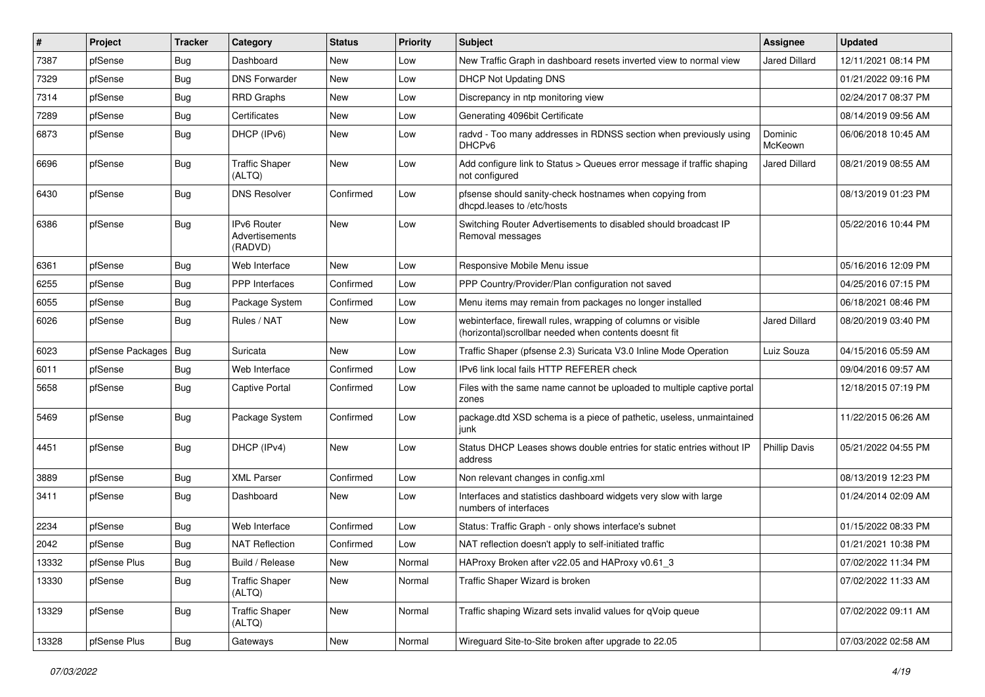| $\pmb{\#}$ | Project          | <b>Tracker</b> | Category                                        | <b>Status</b> | <b>Priority</b> | <b>Subject</b>                                                                                                        | <b>Assignee</b>      | <b>Updated</b>      |
|------------|------------------|----------------|-------------------------------------------------|---------------|-----------------|-----------------------------------------------------------------------------------------------------------------------|----------------------|---------------------|
| 7387       | pfSense          | <b>Bug</b>     | Dashboard                                       | New           | Low             | New Traffic Graph in dashboard resets inverted view to normal view                                                    | Jared Dillard        | 12/11/2021 08:14 PM |
| 7329       | pfSense          | Bug            | <b>DNS Forwarder</b>                            | <b>New</b>    | Low             | <b>DHCP Not Updating DNS</b>                                                                                          |                      | 01/21/2022 09:16 PM |
| 7314       | pfSense          | Bug            | <b>RRD Graphs</b>                               | <b>New</b>    | Low             | Discrepancy in ntp monitoring view                                                                                    |                      | 02/24/2017 08:37 PM |
| 7289       | pfSense          | Bug            | Certificates                                    | <b>New</b>    | Low             | Generating 4096bit Certificate                                                                                        |                      | 08/14/2019 09:56 AM |
| 6873       | pfSense          | Bug            | DHCP (IPv6)                                     | <b>New</b>    | Low             | radvd - Too many addresses in RDNSS section when previously using<br>DHCP <sub>v6</sub>                               | Dominic<br>McKeown   | 06/06/2018 10:45 AM |
| 6696       | pfSense          | <b>Bug</b>     | <b>Traffic Shaper</b><br>(ALTQ)                 | <b>New</b>    | Low             | Add configure link to Status > Queues error message if traffic shaping<br>not configured                              | Jared Dillard        | 08/21/2019 08:55 AM |
| 6430       | pfSense          | Bug            | <b>DNS Resolver</b>                             | Confirmed     | Low             | pfsense should sanity-check hostnames when copying from<br>dhcpd.leases to /etc/hosts                                 |                      | 08/13/2019 01:23 PM |
| 6386       | pfSense          | Bug            | <b>IPv6 Router</b><br>Advertisements<br>(RADVD) | <b>New</b>    | Low             | Switching Router Advertisements to disabled should broadcast IP<br>Removal messages                                   |                      | 05/22/2016 10:44 PM |
| 6361       | pfSense          | Bug            | Web Interface                                   | <b>New</b>    | Low             | Responsive Mobile Menu issue                                                                                          |                      | 05/16/2016 12:09 PM |
| 6255       | pfSense          | Bug            | <b>PPP</b> Interfaces                           | Confirmed     | Low             | PPP Country/Provider/Plan configuration not saved                                                                     |                      | 04/25/2016 07:15 PM |
| 6055       | pfSense          | Bug            | Package System                                  | Confirmed     | Low             | Menu items may remain from packages no longer installed                                                               |                      | 06/18/2021 08:46 PM |
| 6026       | pfSense          | <b>Bug</b>     | Rules / NAT                                     | <b>New</b>    | Low             | webinterface, firewall rules, wrapping of columns or visible<br>(horizontal)scrollbar needed when contents doesnt fit | Jared Dillard        | 08/20/2019 03:40 PM |
| 6023       | pfSense Packages | Bug            | Suricata                                        | <b>New</b>    | Low             | Traffic Shaper (pfsense 2.3) Suricata V3.0 Inline Mode Operation                                                      | Luiz Souza           | 04/15/2016 05:59 AM |
| 6011       | pfSense          | Bug            | Web Interface                                   | Confirmed     | Low             | IPv6 link local fails HTTP REFERER check                                                                              |                      | 09/04/2016 09:57 AM |
| 5658       | pfSense          | Bug            | Captive Portal                                  | Confirmed     | Low             | Files with the same name cannot be uploaded to multiple captive portal<br>zones                                       |                      | 12/18/2015 07:19 PM |
| 5469       | pfSense          | Bug            | Package System                                  | Confirmed     | Low             | package.dtd XSD schema is a piece of pathetic, useless, unmaintained<br>junk                                          |                      | 11/22/2015 06:26 AM |
| 4451       | pfSense          | <b>Bug</b>     | DHCP (IPv4)                                     | <b>New</b>    | Low             | Status DHCP Leases shows double entries for static entries without IP<br>address                                      | <b>Phillip Davis</b> | 05/21/2022 04:55 PM |
| 3889       | pfSense          | Bug            | <b>XML Parser</b>                               | Confirmed     | Low             | Non relevant changes in config.xml                                                                                    |                      | 08/13/2019 12:23 PM |
| 3411       | pfSense          | Bug            | Dashboard                                       | New           | Low             | Interfaces and statistics dashboard widgets very slow with large<br>numbers of interfaces                             |                      | 01/24/2014 02:09 AM |
| 2234       | pfSense          | Bug            | Web Interface                                   | Confirmed     | Low             | Status: Traffic Graph - only shows interface's subnet                                                                 |                      | 01/15/2022 08:33 PM |
| 2042       | pfSense          | Bug            | <b>NAT Reflection</b>                           | Confirmed     | Low             | NAT reflection doesn't apply to self-initiated traffic                                                                |                      | 01/21/2021 10:38 PM |
| 13332      | pfSense Plus     | Bug            | Build / Release                                 | New           | Normal          | HAProxy Broken after v22.05 and HAProxy v0.61_3                                                                       |                      | 07/02/2022 11:34 PM |
| 13330      | pfSense          | <b>Bug</b>     | <b>Traffic Shaper</b><br>(ALTQ)                 | New           | Normal          | Traffic Shaper Wizard is broken                                                                                       |                      | 07/02/2022 11:33 AM |
| 13329      | pfSense          | <b>Bug</b>     | <b>Traffic Shaper</b><br>(ALTQ)                 | New           | Normal          | Traffic shaping Wizard sets invalid values for qVoip queue                                                            |                      | 07/02/2022 09:11 AM |
| 13328      | pfSense Plus     | <b>Bug</b>     | Gateways                                        | New           | Normal          | Wireguard Site-to-Site broken after upgrade to 22.05                                                                  |                      | 07/03/2022 02:58 AM |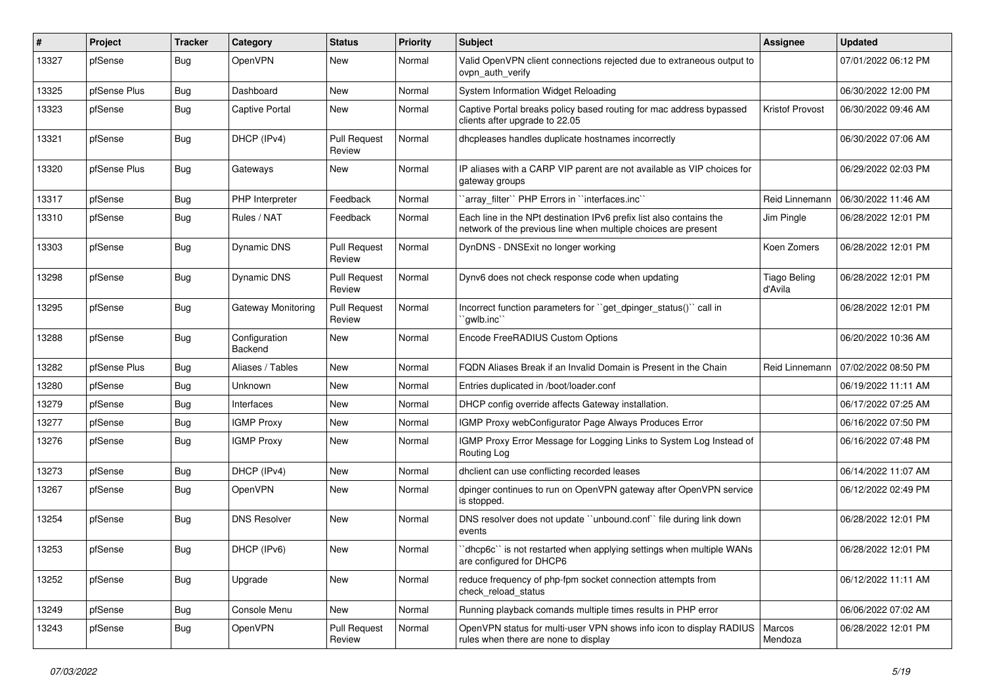| $\#$  | Project      | <b>Tracker</b> | Category                 | <b>Status</b>                 | <b>Priority</b> | Subject                                                                                                                               | Assignee                       | <b>Updated</b>      |
|-------|--------------|----------------|--------------------------|-------------------------------|-----------------|---------------------------------------------------------------------------------------------------------------------------------------|--------------------------------|---------------------|
| 13327 | pfSense      | Bug            | OpenVPN                  | New                           | Normal          | Valid OpenVPN client connections rejected due to extraneous output to<br>ovpn_auth_verify                                             |                                | 07/01/2022 06:12 PM |
| 13325 | pfSense Plus | Bug            | Dashboard                | <b>New</b>                    | Normal          | System Information Widget Reloading                                                                                                   |                                | 06/30/2022 12:00 PM |
| 13323 | pfSense      | Bug            | <b>Captive Portal</b>    | New                           | Normal          | Captive Portal breaks policy based routing for mac address bypassed<br>clients after upgrade to 22.05                                 | <b>Kristof Provost</b>         | 06/30/2022 09:46 AM |
| 13321 | pfSense      | Bug            | DHCP (IPv4)              | <b>Pull Request</b><br>Review | Normal          | dhcpleases handles duplicate hostnames incorrectly                                                                                    |                                | 06/30/2022 07:06 AM |
| 13320 | pfSense Plus | Bug            | Gateways                 | <b>New</b>                    | Normal          | IP aliases with a CARP VIP parent are not available as VIP choices for<br>gateway groups                                              |                                | 06/29/2022 02:03 PM |
| 13317 | pfSense      | Bug            | PHP Interpreter          | Feedback                      | Normal          | 'array_filter'' PHP Errors in ''interfaces.inc''                                                                                      | Reid Linnemann                 | 06/30/2022 11:46 AM |
| 13310 | pfSense      | Bug            | Rules / NAT              | Feedback                      | Normal          | Each line in the NPt destination IPv6 prefix list also contains the<br>network of the previous line when multiple choices are present | Jim Pingle                     | 06/28/2022 12:01 PM |
| 13303 | pfSense      | <b>Bug</b>     | <b>Dynamic DNS</b>       | <b>Pull Request</b><br>Review | Normal          | DynDNS - DNSExit no longer working                                                                                                    | Koen Zomers                    | 06/28/2022 12:01 PM |
| 13298 | pfSense      | Bug            | <b>Dynamic DNS</b>       | <b>Pull Request</b><br>Review | Normal          | Dynv6 does not check response code when updating                                                                                      | <b>Tiago Beling</b><br>d'Avila | 06/28/2022 12:01 PM |
| 13295 | pfSense      | Bug            | Gateway Monitoring       | <b>Pull Request</b><br>Review | Normal          | Incorrect function parameters for "get_dpinger_status()" call in<br>`qwlb.inc``                                                       |                                | 06/28/2022 12:01 PM |
| 13288 | pfSense      | <b>Bug</b>     | Configuration<br>Backend | <b>New</b>                    | Normal          | Encode FreeRADIUS Custom Options                                                                                                      |                                | 06/20/2022 10:36 AM |
| 13282 | pfSense Plus | Bug            | Aliases / Tables         | <b>New</b>                    | Normal          | FQDN Aliases Break if an Invalid Domain is Present in the Chain                                                                       | Reid Linnemann                 | 07/02/2022 08:50 PM |
| 13280 | pfSense      | Bug            | Unknown                  | New                           | Normal          | Entries duplicated in /boot/loader.conf                                                                                               |                                | 06/19/2022 11:11 AM |
| 13279 | pfSense      | Bug            | Interfaces               | New                           | Normal          | DHCP config override affects Gateway installation.                                                                                    |                                | 06/17/2022 07:25 AM |
| 13277 | pfSense      | Bug            | <b>IGMP Proxy</b>        | New                           | Normal          | IGMP Proxy webConfigurator Page Always Produces Error                                                                                 |                                | 06/16/2022 07:50 PM |
| 13276 | pfSense      | <b>Bug</b>     | <b>IGMP Proxy</b>        | New                           | Normal          | IGMP Proxy Error Message for Logging Links to System Log Instead of<br>Routing Log                                                    |                                | 06/16/2022 07:48 PM |
| 13273 | pfSense      | Bug            | DHCP (IPv4)              | <b>New</b>                    | Normal          | dhclient can use conflicting recorded leases                                                                                          |                                | 06/14/2022 11:07 AM |
| 13267 | pfSense      | Bug            | OpenVPN                  | New                           | Normal          | dpinger continues to run on OpenVPN gateway after OpenVPN service<br>is stopped.                                                      |                                | 06/12/2022 02:49 PM |
| 13254 | pfSense      | Bug            | <b>DNS Resolver</b>      | New                           | Normal          | DNS resolver does not update "unbound.conf" file during link down<br>events                                                           |                                | 06/28/2022 12:01 PM |
| 13253 | pfSense      | Bug            | DHCP (IPv6)              | New                           | Normal          | 'dhcp6c' is not restarted when applying settings when multiple WANs<br>are configured for DHCP6                                       |                                | 06/28/2022 12:01 PM |
| 13252 | pfSense      | <b>Bug</b>     | Upgrade                  | New                           | Normal          | reduce frequency of php-fpm socket connection attempts from<br>check_reload_status                                                    |                                | 06/12/2022 11:11 AM |
| 13249 | pfSense      | <b>Bug</b>     | Console Menu             | New                           | Normal          | Running playback comands multiple times results in PHP error                                                                          |                                | 06/06/2022 07:02 AM |
| 13243 | pfSense      | Bug            | <b>OpenVPN</b>           | <b>Pull Request</b><br>Review | Normal          | OpenVPN status for multi-user VPN shows info icon to display RADIUS   Marcos<br>rules when there are none to display                  | Mendoza                        | 06/28/2022 12:01 PM |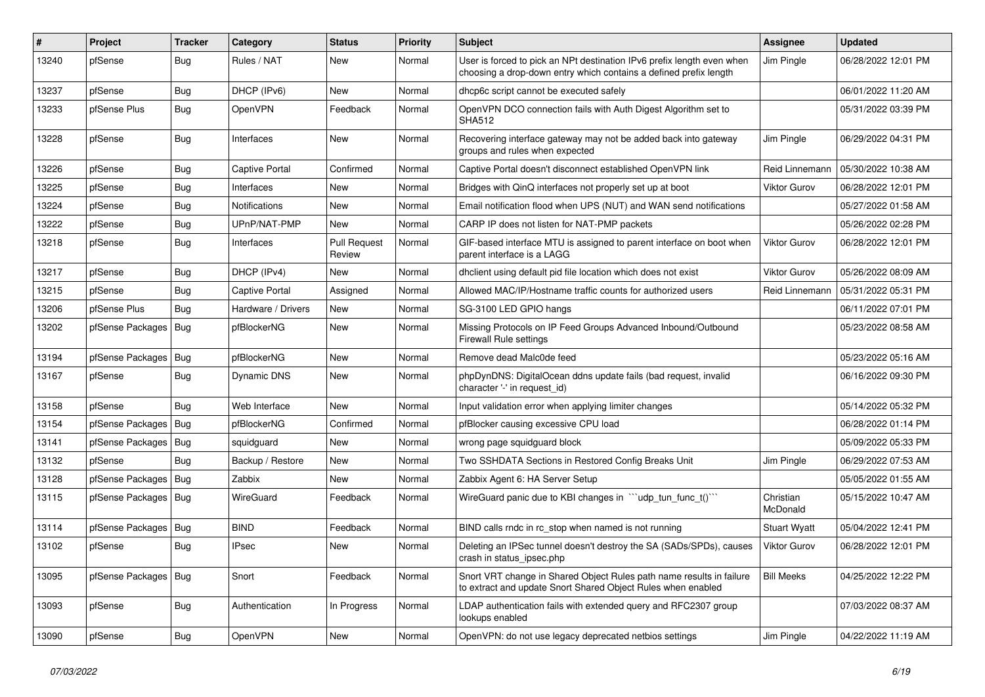| ∦     | Project          | Tracker    | Category              | <b>Status</b>                 | <b>Priority</b> | <b>Subject</b>                                                                                                                              | <b>Assignee</b>       | <b>Updated</b>      |
|-------|------------------|------------|-----------------------|-------------------------------|-----------------|---------------------------------------------------------------------------------------------------------------------------------------------|-----------------------|---------------------|
| 13240 | pfSense          | <b>Bug</b> | Rules / NAT           | <b>New</b>                    | Normal          | User is forced to pick an NPt destination IPv6 prefix length even when<br>choosing a drop-down entry which contains a defined prefix length | Jim Pingle            | 06/28/2022 12:01 PM |
| 13237 | pfSense          | <b>Bug</b> | DHCP (IPv6)           | <b>New</b>                    | Normal          | dhcp6c script cannot be executed safely                                                                                                     |                       | 06/01/2022 11:20 AM |
| 13233 | pfSense Plus     | Bug        | OpenVPN               | Feedback                      | Normal          | OpenVPN DCO connection fails with Auth Digest Algorithm set to<br><b>SHA512</b>                                                             |                       | 05/31/2022 03:39 PM |
| 13228 | pfSense          | Bug        | Interfaces            | <b>New</b>                    | Normal          | Recovering interface gateway may not be added back into gateway<br>groups and rules when expected                                           | Jim Pingle            | 06/29/2022 04:31 PM |
| 13226 | pfSense          | Bug        | <b>Captive Portal</b> | Confirmed                     | Normal          | Captive Portal doesn't disconnect established OpenVPN link                                                                                  | Reid Linnemann        | 05/30/2022 10:38 AM |
| 13225 | pfSense          | Bug        | Interfaces            | <b>New</b>                    | Normal          | Bridges with QinQ interfaces not properly set up at boot                                                                                    | <b>Viktor Gurov</b>   | 06/28/2022 12:01 PM |
| 13224 | pfSense          | <b>Bug</b> | <b>Notifications</b>  | <b>New</b>                    | Normal          | Email notification flood when UPS (NUT) and WAN send notifications                                                                          |                       | 05/27/2022 01:58 AM |
| 13222 | pfSense          | <b>Bug</b> | UPnP/NAT-PMP          | New                           | Normal          | CARP IP does not listen for NAT-PMP packets                                                                                                 |                       | 05/26/2022 02:28 PM |
| 13218 | pfSense          | Bug        | Interfaces            | <b>Pull Request</b><br>Review | Normal          | GIF-based interface MTU is assigned to parent interface on boot when<br>parent interface is a LAGG                                          | <b>Viktor Gurov</b>   | 06/28/2022 12:01 PM |
| 13217 | pfSense          | <b>Bug</b> | DHCP (IPv4)           | <b>New</b>                    | Normal          | dholient using default pid file location which does not exist                                                                               | <b>Viktor Gurov</b>   | 05/26/2022 08:09 AM |
| 13215 | pfSense          | <b>Bug</b> | Captive Portal        | Assigned                      | Normal          | Allowed MAC/IP/Hostname traffic counts for authorized users                                                                                 | Reid Linnemann        | 05/31/2022 05:31 PM |
| 13206 | pfSense Plus     | Bug        | Hardware / Drivers    | <b>New</b>                    | Normal          | SG-3100 LED GPIO hangs                                                                                                                      |                       | 06/11/2022 07:01 PM |
| 13202 | pfSense Packages | <b>Bug</b> | pfBlockerNG           | <b>New</b>                    | Normal          | Missing Protocols on IP Feed Groups Advanced Inbound/Outbound<br><b>Firewall Rule settings</b>                                              |                       | 05/23/2022 08:58 AM |
| 13194 | pfSense Packages | <b>Bug</b> | pfBlockerNG           | <b>New</b>                    | Normal          | Remove dead Malc0de feed                                                                                                                    |                       | 05/23/2022 05:16 AM |
| 13167 | pfSense          | Bug        | Dynamic DNS           | <b>New</b>                    | Normal          | phpDynDNS: DigitalOcean ddns update fails (bad request, invalid<br>character '-' in request_id)                                             |                       | 06/16/2022 09:30 PM |
| 13158 | pfSense          | Bug        | Web Interface         | <b>New</b>                    | Normal          | Input validation error when applying limiter changes                                                                                        |                       | 05/14/2022 05:32 PM |
| 13154 | pfSense Packages | Bug        | pfBlockerNG           | Confirmed                     | Normal          | pfBlocker causing excessive CPU load                                                                                                        |                       | 06/28/2022 01:14 PM |
| 13141 | pfSense Packages | Bug        | squidguard            | <b>New</b>                    | Normal          | wrong page squidguard block                                                                                                                 |                       | 05/09/2022 05:33 PM |
| 13132 | pfSense          | Bug        | Backup / Restore      | <b>New</b>                    | Normal          | Two SSHDATA Sections in Restored Config Breaks Unit                                                                                         | Jim Pingle            | 06/29/2022 07:53 AM |
| 13128 | pfSense Packages | Bug        | Zabbix                | <b>New</b>                    | Normal          | Zabbix Agent 6: HA Server Setup                                                                                                             |                       | 05/05/2022 01:55 AM |
| 13115 | pfSense Packages | Bug        | WireGuard             | Feedback                      | Normal          | WireGuard panic due to KBI changes in ""udp tun func t()""                                                                                  | Christian<br>McDonald | 05/15/2022 10:47 AM |
| 13114 | pfSense Packages | Bug        | <b>BIND</b>           | Feedback                      | Normal          | BIND calls rndc in rc_stop when named is not running                                                                                        | <b>Stuart Wyatt</b>   | 05/04/2022 12:41 PM |
| 13102 | pfSense          | <b>Bug</b> | <b>IPsec</b>          | <b>New</b>                    | Normal          | Deleting an IPSec tunnel doesn't destroy the SA (SADs/SPDs), causes<br>crash in status_ipsec.php                                            | Viktor Gurov          | 06/28/2022 12:01 PM |
| 13095 | pfSense Packages | Bug        | Snort                 | Feedback                      | Normal          | Snort VRT change in Shared Object Rules path name results in failure<br>to extract and update Snort Shared Object Rules when enabled        | <b>Bill Meeks</b>     | 04/25/2022 12:22 PM |
| 13093 | pfSense          | <b>Bug</b> | Authentication        | In Progress                   | Normal          | LDAP authentication fails with extended query and RFC2307 group<br>lookups enabled                                                          |                       | 07/03/2022 08:37 AM |
| 13090 | pfSense          | Bug        | OpenVPN               | New                           | Normal          | OpenVPN: do not use legacy deprecated netbios settings                                                                                      | Jim Pingle            | 04/22/2022 11:19 AM |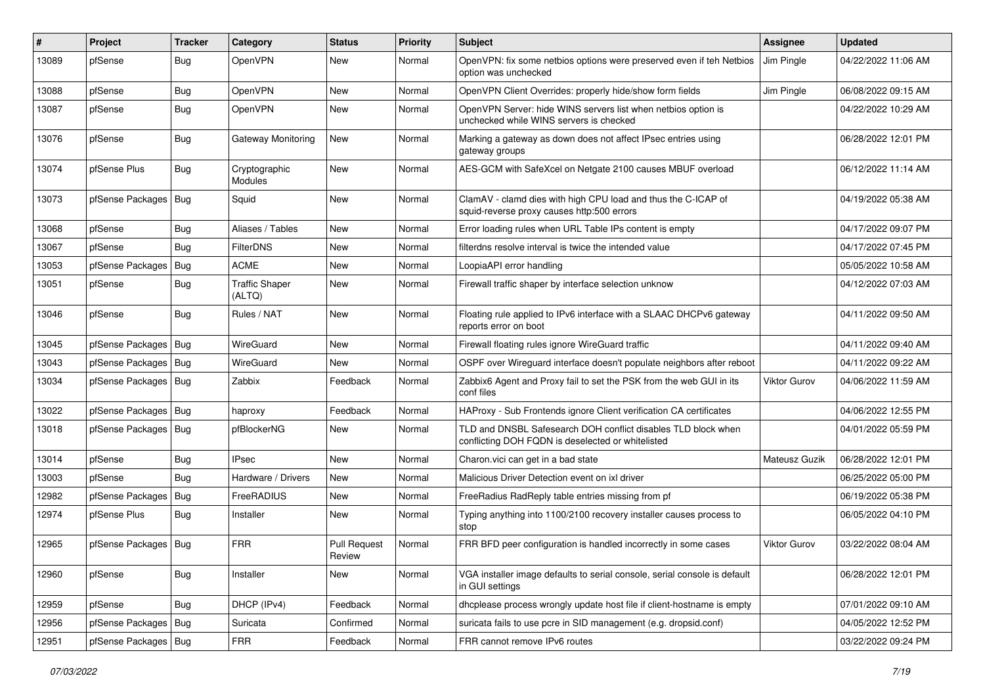| #     | Project                | Tracker    | Category                        | <b>Status</b>                 | <b>Priority</b> | <b>Subject</b>                                                                                                     | <b>Assignee</b>     | <b>Updated</b>      |
|-------|------------------------|------------|---------------------------------|-------------------------------|-----------------|--------------------------------------------------------------------------------------------------------------------|---------------------|---------------------|
| 13089 | pfSense                | <b>Bug</b> | OpenVPN                         | New                           | Normal          | OpenVPN: fix some netbios options were preserved even if teh Netbios<br>option was unchecked                       | Jim Pingle          | 04/22/2022 11:06 AM |
| 13088 | pfSense                | <b>Bug</b> | <b>OpenVPN</b>                  | New                           | Normal          | OpenVPN Client Overrides: properly hide/show form fields                                                           | Jim Pingle          | 06/08/2022 09:15 AM |
| 13087 | pfSense                | <b>Bug</b> | OpenVPN                         | New                           | Normal          | OpenVPN Server: hide WINS servers list when netbios option is<br>unchecked while WINS servers is checked           |                     | 04/22/2022 10:29 AM |
| 13076 | pfSense                | Bug        | Gateway Monitoring              | New                           | Normal          | Marking a gateway as down does not affect IPsec entries using<br>gateway groups                                    |                     | 06/28/2022 12:01 PM |
| 13074 | pfSense Plus           | Bug        | Cryptographic<br>Modules        | New                           | Normal          | AES-GCM with SafeXcel on Netgate 2100 causes MBUF overload                                                         |                     | 06/12/2022 11:14 AM |
| 13073 | pfSense Packages   Bug |            | Squid                           | New                           | Normal          | ClamAV - clamd dies with high CPU load and thus the C-ICAP of<br>squid-reverse proxy causes http:500 errors        |                     | 04/19/2022 05:38 AM |
| 13068 | pfSense                | Bug        | Aliases / Tables                | New                           | Normal          | Error loading rules when URL Table IPs content is empty                                                            |                     | 04/17/2022 09:07 PM |
| 13067 | pfSense                | <b>Bug</b> | FilterDNS                       | <b>New</b>                    | Normal          | filterdns resolve interval is twice the intended value                                                             |                     | 04/17/2022 07:45 PM |
| 13053 | pfSense Packages       | Bug        | <b>ACME</b>                     | New                           | Normal          | LoopiaAPI error handling                                                                                           |                     | 05/05/2022 10:58 AM |
| 13051 | pfSense                | Bug        | <b>Traffic Shaper</b><br>(ALTQ) | New                           | Normal          | Firewall traffic shaper by interface selection unknow                                                              |                     | 04/12/2022 07:03 AM |
| 13046 | pfSense                | Bug        | Rules / NAT                     | New                           | Normal          | Floating rule applied to IPv6 interface with a SLAAC DHCPv6 gateway<br>reports error on boot                       |                     | 04/11/2022 09:50 AM |
| 13045 | pfSense Packages   Bug |            | WireGuard                       | <b>New</b>                    | Normal          | Firewall floating rules ignore WireGuard traffic                                                                   |                     | 04/11/2022 09:40 AM |
| 13043 | pfSense Packages   Bug |            | WireGuard                       | New                           | Normal          | OSPF over Wireguard interface doesn't populate neighbors after reboot                                              |                     | 04/11/2022 09:22 AM |
| 13034 | pfSense Packages   Bug |            | Zabbix                          | Feedback                      | Normal          | Zabbix6 Agent and Proxy fail to set the PSK from the web GUI in its<br>conf files                                  | <b>Viktor Gurov</b> | 04/06/2022 11:59 AM |
| 13022 | pfSense Packages   Bug |            | haproxy                         | Feedback                      | Normal          | HAProxy - Sub Frontends ignore Client verification CA certificates                                                 |                     | 04/06/2022 12:55 PM |
| 13018 | pfSense Packages   Bug |            | pfBlockerNG                     | New                           | Normal          | TLD and DNSBL Safesearch DOH conflict disables TLD block when<br>conflicting DOH FQDN is deselected or whitelisted |                     | 04/01/2022 05:59 PM |
| 13014 | pfSense                | Bug        | <b>IPsec</b>                    | New                           | Normal          | Charon.vici can get in a bad state                                                                                 | Mateusz Guzik       | 06/28/2022 12:01 PM |
| 13003 | pfSense                | Bug        | Hardware / Drivers              | New                           | Normal          | Malicious Driver Detection event on ixl driver                                                                     |                     | 06/25/2022 05:00 PM |
| 12982 | pfSense Packages   Bug |            | FreeRADIUS                      | New                           | Normal          | FreeRadius RadReply table entries missing from pf                                                                  |                     | 06/19/2022 05:38 PM |
| 12974 | pfSense Plus           | <b>Bug</b> | Installer                       | New                           | Normal          | Typing anything into 1100/2100 recovery installer causes process to<br>stop                                        |                     | 06/05/2022 04:10 PM |
| 12965 | pfSense Packages   Bug |            | <b>FRR</b>                      | <b>Pull Request</b><br>Review | Normal          | FRR BFD peer configuration is handled incorrectly in some cases                                                    | <b>Viktor Gurov</b> | 03/22/2022 08:04 AM |
| 12960 | pfSense                | Bug        | Installer                       | New                           | Normal          | VGA installer image defaults to serial console, serial console is default<br>in GUI settings                       |                     | 06/28/2022 12:01 PM |
| 12959 | pfSense                | Bug        | DHCP (IPv4)                     | Feedback                      | Normal          | dhcplease process wrongly update host file if client-hostname is empty                                             |                     | 07/01/2022 09:10 AM |
| 12956 | pfSense Packages   Bug |            | Suricata                        | Confirmed                     | Normal          | suricata fails to use pcre in SID management (e.g. dropsid.conf)                                                   |                     | 04/05/2022 12:52 PM |
| 12951 | pfSense Packages   Bug |            | <b>FRR</b>                      | Feedback                      | Normal          | FRR cannot remove IPv6 routes                                                                                      |                     | 03/22/2022 09:24 PM |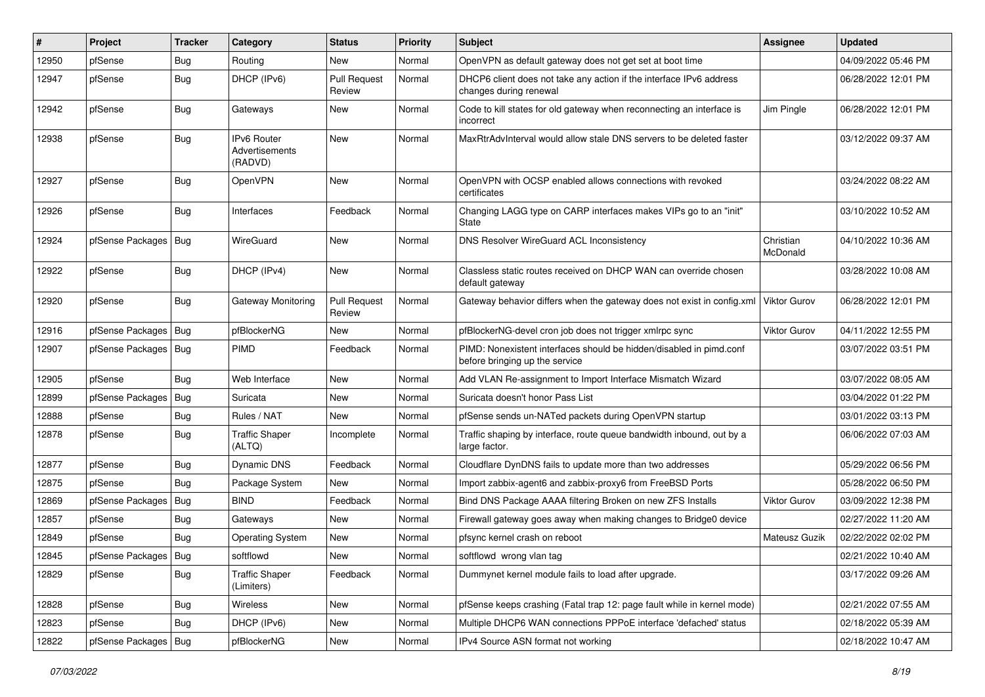| #     | Project                | <b>Tracker</b> | Category                                        | <b>Status</b>                 | <b>Priority</b> | <b>Subject</b>                                                                                        | <b>Assignee</b>       | <b>Updated</b>      |
|-------|------------------------|----------------|-------------------------------------------------|-------------------------------|-----------------|-------------------------------------------------------------------------------------------------------|-----------------------|---------------------|
| 12950 | pfSense                | <b>Bug</b>     | Routing                                         | New                           | Normal          | OpenVPN as default gateway does not get set at boot time                                              |                       | 04/09/2022 05:46 PM |
| 12947 | pfSense                | <b>Bug</b>     | DHCP (IPv6)                                     | <b>Pull Request</b><br>Review | Normal          | DHCP6 client does not take any action if the interface IPv6 address<br>changes during renewal         |                       | 06/28/2022 12:01 PM |
| 12942 | pfSense                | <b>Bug</b>     | Gateways                                        | New                           | Normal          | Code to kill states for old gateway when reconnecting an interface is<br>incorrect                    | Jim Pingle            | 06/28/2022 12:01 PM |
| 12938 | pfSense                | Bug            | <b>IPv6 Router</b><br>Advertisements<br>(RADVD) | <b>New</b>                    | Normal          | MaxRtrAdvInterval would allow stale DNS servers to be deleted faster                                  |                       | 03/12/2022 09:37 AM |
| 12927 | pfSense                | <b>Bug</b>     | OpenVPN                                         | <b>New</b>                    | Normal          | OpenVPN with OCSP enabled allows connections with revoked<br>certificates                             |                       | 03/24/2022 08:22 AM |
| 12926 | pfSense                | Bug            | Interfaces                                      | Feedback                      | Normal          | Changing LAGG type on CARP interfaces makes VIPs go to an "init"<br>State                             |                       | 03/10/2022 10:52 AM |
| 12924 | pfSense Packages   Bug |                | WireGuard                                       | New                           | Normal          | DNS Resolver WireGuard ACL Inconsistency                                                              | Christian<br>McDonald | 04/10/2022 10:36 AM |
| 12922 | pfSense                | Bug            | DHCP (IPv4)                                     | New                           | Normal          | Classless static routes received on DHCP WAN can override chosen<br>default gateway                   |                       | 03/28/2022 10:08 AM |
| 12920 | pfSense                | Bug            | Gateway Monitoring                              | <b>Pull Request</b><br>Review | Normal          | Gateway behavior differs when the gateway does not exist in config.xml                                | <b>Viktor Gurov</b>   | 06/28/2022 12:01 PM |
| 12916 | pfSense Packages       | Bug            | pfBlockerNG                                     | <b>New</b>                    | Normal          | pfBlockerNG-devel cron job does not trigger xmlrpc sync                                               | <b>Viktor Gurov</b>   | 04/11/2022 12:55 PM |
| 12907 | pfSense Packages       | Bug            | PIMD                                            | Feedback                      | Normal          | PIMD: Nonexistent interfaces should be hidden/disabled in pimd.conf<br>before bringing up the service |                       | 03/07/2022 03:51 PM |
| 12905 | pfSense                | Bug            | Web Interface                                   | <b>New</b>                    | Normal          | Add VLAN Re-assignment to Import Interface Mismatch Wizard                                            |                       | 03/07/2022 08:05 AM |
| 12899 | pfSense Packages       | <b>Bug</b>     | Suricata                                        | New                           | Normal          | Suricata doesn't honor Pass List                                                                      |                       | 03/04/2022 01:22 PM |
| 12888 | pfSense                | <b>Bug</b>     | Rules / NAT                                     | <b>New</b>                    | Normal          | pfSense sends un-NATed packets during OpenVPN startup                                                 |                       | 03/01/2022 03:13 PM |
| 12878 | pfSense                | Bug            | <b>Traffic Shaper</b><br>(ALTQ)                 | Incomplete                    | Normal          | Traffic shaping by interface, route queue bandwidth inbound, out by a<br>large factor.                |                       | 06/06/2022 07:03 AM |
| 12877 | pfSense                | Bug            | Dynamic DNS                                     | Feedback                      | Normal          | Cloudflare DynDNS fails to update more than two addresses                                             |                       | 05/29/2022 06:56 PM |
| 12875 | pfSense                | Bug            | Package System                                  | New                           | Normal          | Import zabbix-agent6 and zabbix-proxy6 from FreeBSD Ports                                             |                       | 05/28/2022 06:50 PM |
| 12869 | pfSense Packages   Bug |                | <b>BIND</b>                                     | Feedback                      | Normal          | Bind DNS Package AAAA filtering Broken on new ZFS Installs                                            | <b>Viktor Gurov</b>   | 03/09/2022 12:38 PM |
| 12857 | pfSense                | Bug            | Gateways                                        | <b>New</b>                    | Normal          | Firewall gateway goes away when making changes to Bridge0 device                                      |                       | 02/27/2022 11:20 AM |
| 12849 | pfSense                | Bug            | Operating System                                | New                           | Normal          | pfsync kernel crash on reboot                                                                         | Mateusz Guzik         | 02/22/2022 02:02 PM |
| 12845 | pfSense Packages   Bug |                | softflowd                                       | New                           | Normal          | softflowd wrong vlan tag                                                                              |                       | 02/21/2022 10:40 AM |
| 12829 | pfSense                | Bug            | <b>Traffic Shaper</b><br>(Limiters)             | Feedback                      | Normal          | Dummynet kernel module fails to load after upgrade.                                                   |                       | 03/17/2022 09:26 AM |
| 12828 | pfSense                | Bug            | Wireless                                        | New                           | Normal          | pfSense keeps crashing (Fatal trap 12: page fault while in kernel mode)                               |                       | 02/21/2022 07:55 AM |
| 12823 | pfSense                | Bug            | DHCP (IPv6)                                     | New                           | Normal          | Multiple DHCP6 WAN connections PPPoE interface 'defached' status                                      |                       | 02/18/2022 05:39 AM |
| 12822 | pfSense Packages       | Bug            | pfBlockerNG                                     | New                           | Normal          | IPv4 Source ASN format not working                                                                    |                       | 02/18/2022 10:47 AM |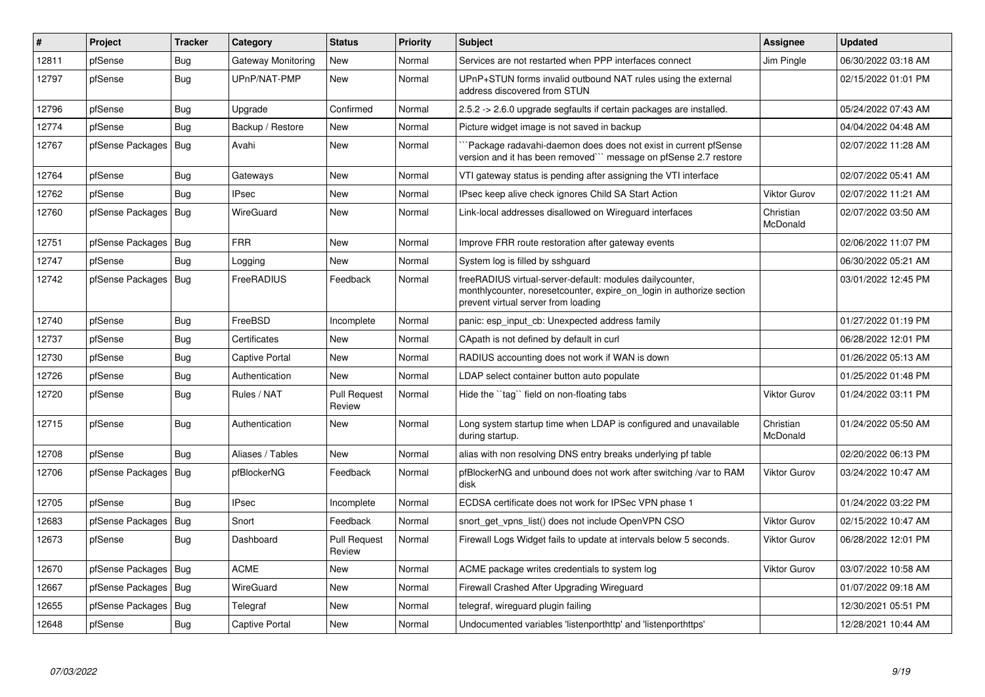| #     | <b>Project</b>         | <b>Tracker</b> | Category           | <b>Status</b>                 | Priority | <b>Subject</b>                                                                                                                                                          | Assignee              | <b>Updated</b>      |
|-------|------------------------|----------------|--------------------|-------------------------------|----------|-------------------------------------------------------------------------------------------------------------------------------------------------------------------------|-----------------------|---------------------|
| 12811 | pfSense                | Bug            | Gateway Monitoring | <b>New</b>                    | Normal   | Services are not restarted when PPP interfaces connect                                                                                                                  | Jim Pingle            | 06/30/2022 03:18 AM |
| 12797 | pfSense                | Bug            | UPnP/NAT-PMP       | <b>New</b>                    | Normal   | UPnP+STUN forms invalid outbound NAT rules using the external<br>address discovered from STUN                                                                           |                       | 02/15/2022 01:01 PM |
| 12796 | pfSense                | Bug            | Upgrade            | Confirmed                     | Normal   | 2.5.2 -> 2.6.0 upgrade segfaults if certain packages are installed.                                                                                                     |                       | 05/24/2022 07:43 AM |
| 12774 | pfSense                | <b>Bug</b>     | Backup / Restore   | <b>New</b>                    | Normal   | Picture widget image is not saved in backup                                                                                                                             |                       | 04/04/2022 04:48 AM |
| 12767 | pfSense Packages       | Bug            | Avahi              | <b>New</b>                    | Normal   | `Package radavahi-daemon does does not exist in current pfSense<br>version and it has been removed``` message on pfSense 2.7 restore                                    |                       | 02/07/2022 11:28 AM |
| 12764 | pfSense                | <b>Bug</b>     | Gateways           | <b>New</b>                    | Normal   | VTI gateway status is pending after assigning the VTI interface                                                                                                         |                       | 02/07/2022 05:41 AM |
| 12762 | pfSense                | Bug            | <b>IPsec</b>       | New                           | Normal   | IPsec keep alive check ignores Child SA Start Action                                                                                                                    | Viktor Gurov          | 02/07/2022 11:21 AM |
| 12760 | pfSense Packages       | Bug            | WireGuard          | <b>New</b>                    | Normal   | Link-local addresses disallowed on Wireguard interfaces                                                                                                                 | Christian<br>McDonald | 02/07/2022 03:50 AM |
| 12751 | pfSense Packages       | <b>Bug</b>     | <b>FRR</b>         | <b>New</b>                    | Normal   | Improve FRR route restoration after gateway events                                                                                                                      |                       | 02/06/2022 11:07 PM |
| 12747 | pfSense                | Bug            | Logging            | <b>New</b>                    | Normal   | System log is filled by sshguard                                                                                                                                        |                       | 06/30/2022 05:21 AM |
| 12742 | pfSense Packages   Bug |                | FreeRADIUS         | Feedback                      | Normal   | freeRADIUS virtual-server-default: modules dailycounter,<br>monthlycounter, noresetcounter, expire_on_login in authorize section<br>prevent virtual server from loading |                       | 03/01/2022 12:45 PM |
| 12740 | pfSense                | Bug            | FreeBSD            | Incomplete                    | Normal   | panic: esp input cb: Unexpected address family                                                                                                                          |                       | 01/27/2022 01:19 PM |
| 12737 | pfSense                | Bug            | Certificates       | <b>New</b>                    | Normal   | CApath is not defined by default in curl                                                                                                                                |                       | 06/28/2022 12:01 PM |
| 12730 | pfSense                | Bug            | Captive Portal     | New                           | Normal   | RADIUS accounting does not work if WAN is down                                                                                                                          |                       | 01/26/2022 05:13 AM |
| 12726 | pfSense                | <b>Bug</b>     | Authentication     | <b>New</b>                    | Normal   | LDAP select container button auto populate                                                                                                                              |                       | 01/25/2022 01:48 PM |
| 12720 | pfSense                | <b>Bug</b>     | Rules / NAT        | <b>Pull Request</b><br>Review | Normal   | Hide the "tag" field on non-floating tabs                                                                                                                               | Viktor Gurov          | 01/24/2022 03:11 PM |
| 12715 | pfSense                | <b>Bug</b>     | Authentication     | <b>New</b>                    | Normal   | Long system startup time when LDAP is configured and unavailable<br>during startup.                                                                                     | Christian<br>McDonald | 01/24/2022 05:50 AM |
| 12708 | pfSense                | Bug            | Aliases / Tables   | <b>New</b>                    | Normal   | alias with non resolving DNS entry breaks underlying pf table                                                                                                           |                       | 02/20/2022 06:13 PM |
| 12706 | pfSense Packages       | Bug            | pfBlockerNG        | Feedback                      | Normal   | pfBlockerNG and unbound does not work after switching /var to RAM<br>disk                                                                                               | Viktor Gurov          | 03/24/2022 10:47 AM |
| 12705 | pfSense                | <b>Bug</b>     | <b>IPsec</b>       | Incomplete                    | Normal   | ECDSA certificate does not work for IPSec VPN phase 1                                                                                                                   |                       | 01/24/2022 03:22 PM |
| 12683 | pfSense Packages       | Bug            | Snort              | Feedback                      | Normal   | snort get vpns list() does not include OpenVPN CSO                                                                                                                      | <b>Viktor Gurov</b>   | 02/15/2022 10:47 AM |
| 12673 | pfSense                | <b>Bug</b>     | Dashboard          | <b>Pull Request</b><br>Review | Normal   | Firewall Logs Widget fails to update at intervals below 5 seconds.                                                                                                      | Viktor Gurov          | 06/28/2022 12:01 PM |
| 12670 | pfSense Packages       | Bug            | <b>ACME</b>        | <b>New</b>                    | Normal   | ACME package writes credentials to system log                                                                                                                           | <b>Viktor Gurov</b>   | 03/07/2022 10:58 AM |
| 12667 | pfSense Packages   Bug |                | WireGuard          | <b>New</b>                    | Normal   | Firewall Crashed After Upgrading Wireguard                                                                                                                              |                       | 01/07/2022 09:18 AM |
| 12655 | pfSense Packages       | Bug            | Telegraf           | New                           | Normal   | telegraf, wireguard plugin failing                                                                                                                                      |                       | 12/30/2021 05:51 PM |
| 12648 | pfSense                | Bug            | Captive Portal     | <b>New</b>                    | Normal   | Undocumented variables 'listenporthttp' and 'listenporthttps'                                                                                                           |                       | 12/28/2021 10:44 AM |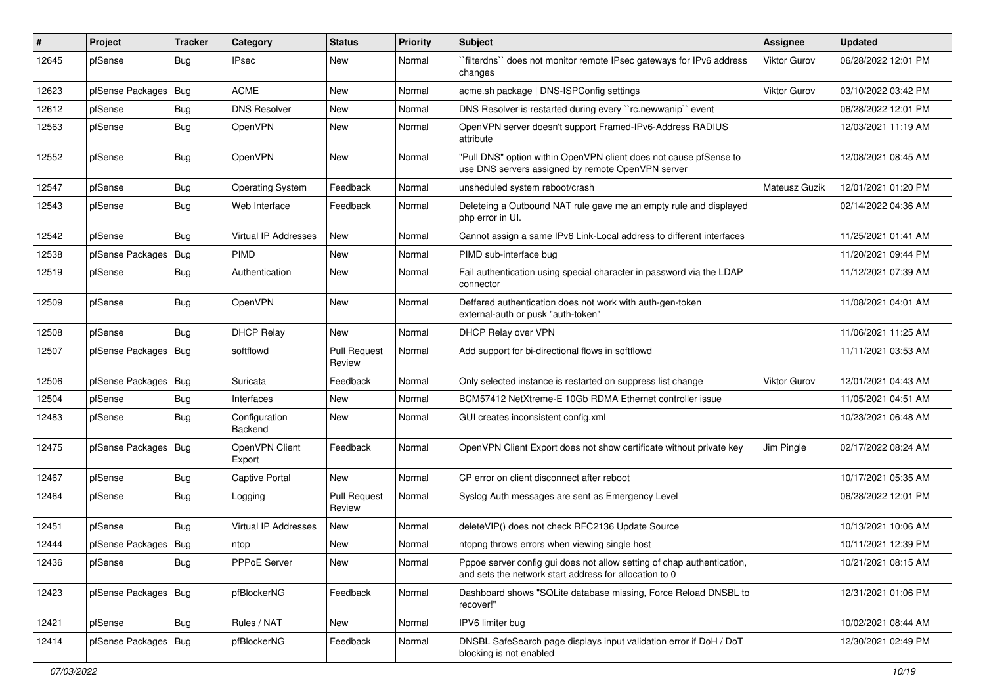| ∦     | Project                | Tracker    | Category                    | <b>Status</b>                 | <b>Priority</b> | Subject                                                                                                                          | <b>Assignee</b>     | <b>Updated</b>      |
|-------|------------------------|------------|-----------------------------|-------------------------------|-----------------|----------------------------------------------------------------------------------------------------------------------------------|---------------------|---------------------|
| 12645 | pfSense                | <b>Bug</b> | <b>IPsec</b>                | New                           | Normal          | `filterdns`` does not monitor remote IPsec gateways for IPv6 address<br>changes                                                  | Viktor Gurov        | 06/28/2022 12:01 PM |
| 12623 | pfSense Packages       | Bug        | <b>ACME</b>                 | New                           | Normal          | acme.sh package   DNS-ISPConfig settings                                                                                         | Viktor Gurov        | 03/10/2022 03:42 PM |
| 12612 | pfSense                | <b>Bug</b> | <b>DNS Resolver</b>         | New                           | Normal          | DNS Resolver is restarted during every "rc.newwanip" event                                                                       |                     | 06/28/2022 12:01 PM |
| 12563 | pfSense                | <b>Bug</b> | OpenVPN                     | New                           | Normal          | OpenVPN server doesn't support Framed-IPv6-Address RADIUS<br>attribute                                                           |                     | 12/03/2021 11:19 AM |
| 12552 | pfSense                | <b>Bug</b> | OpenVPN                     | New                           | Normal          | "Pull DNS" option within OpenVPN client does not cause pfSense to<br>use DNS servers assigned by remote OpenVPN server           |                     | 12/08/2021 08:45 AM |
| 12547 | pfSense                | <b>Bug</b> | <b>Operating System</b>     | Feedback                      | Normal          | unsheduled system reboot/crash                                                                                                   | Mateusz Guzik       | 12/01/2021 01:20 PM |
| 12543 | pfSense                | Bug        | Web Interface               | Feedback                      | Normal          | Deleteing a Outbound NAT rule gave me an empty rule and displayed<br>php error in UI.                                            |                     | 02/14/2022 04:36 AM |
| 12542 | pfSense                | <b>Bug</b> | <b>Virtual IP Addresses</b> | New                           | Normal          | Cannot assign a same IPv6 Link-Local address to different interfaces                                                             |                     | 11/25/2021 01:41 AM |
| 12538 | pfSense Packages       | <b>Bug</b> | PIMD                        | New                           | Normal          | PIMD sub-interface bug                                                                                                           |                     | 11/20/2021 09:44 PM |
| 12519 | pfSense                | <b>Bug</b> | Authentication              | <b>New</b>                    | Normal          | Fail authentication using special character in password via the LDAP<br>connector                                                |                     | 11/12/2021 07:39 AM |
| 12509 | pfSense                | <b>Bug</b> | OpenVPN                     | <b>New</b>                    | Normal          | Deffered authentication does not work with auth-gen-token<br>external-auth or pusk "auth-token"                                  |                     | 11/08/2021 04:01 AM |
| 12508 | pfSense                | <b>Bug</b> | <b>DHCP Relay</b>           | <b>New</b>                    | Normal          | DHCP Relay over VPN                                                                                                              |                     | 11/06/2021 11:25 AM |
| 12507 | pfSense Packages   Bug |            | softflowd                   | <b>Pull Request</b><br>Review | Normal          | Add support for bi-directional flows in softflowd                                                                                |                     | 11/11/2021 03:53 AM |
| 12506 | pfSense Packages       | Bug        | Suricata                    | Feedback                      | Normal          | Only selected instance is restarted on suppress list change                                                                      | <b>Viktor Gurov</b> | 12/01/2021 04:43 AM |
| 12504 | pfSense                | <b>Bug</b> | Interfaces                  | New                           | Normal          | BCM57412 NetXtreme-E 10Gb RDMA Ethernet controller issue                                                                         |                     | 11/05/2021 04:51 AM |
| 12483 | pfSense                | <b>Bug</b> | Configuration<br>Backend    | New                           | Normal          | GUI creates inconsistent config.xml                                                                                              |                     | 10/23/2021 06:48 AM |
| 12475 | pfSense Packages       | Bug        | OpenVPN Client<br>Export    | Feedback                      | Normal          | OpenVPN Client Export does not show certificate without private key                                                              | Jim Pingle          | 02/17/2022 08:24 AM |
| 12467 | pfSense                | <b>Bug</b> | <b>Captive Portal</b>       | <b>New</b>                    | Normal          | CP error on client disconnect after reboot                                                                                       |                     | 10/17/2021 05:35 AM |
| 12464 | pfSense                | <b>Bug</b> | Logging                     | <b>Pull Request</b><br>Review | Normal          | Syslog Auth messages are sent as Emergency Level                                                                                 |                     | 06/28/2022 12:01 PM |
| 12451 | pfSense                | Bug        | Virtual IP Addresses        | New                           | Normal          | deleteVIP() does not check RFC2136 Update Source                                                                                 |                     | 10/13/2021 10:06 AM |
| 12444 | pfSense Packages   Bug |            | ntop                        | New                           | Normal          | ntopng throws errors when viewing single host                                                                                    |                     | 10/11/2021 12:39 PM |
| 12436 | pfSense                | <b>Bug</b> | PPPoE Server                | New                           | Normal          | Pppoe server config gui does not allow setting of chap authentication,<br>and sets the network start address for allocation to 0 |                     | 10/21/2021 08:15 AM |
| 12423 | pfSense Packages   Bug |            | pfBlockerNG                 | Feedback                      | Normal          | Dashboard shows "SQLite database missing, Force Reload DNSBL to<br>recover!"                                                     |                     | 12/31/2021 01:06 PM |
| 12421 | pfSense                | <b>Bug</b> | Rules / NAT                 | New                           | Normal          | IPV6 limiter bug                                                                                                                 |                     | 10/02/2021 08:44 AM |
| 12414 | pfSense Packages   Bug |            | pfBlockerNG                 | Feedback                      | Normal          | DNSBL SafeSearch page displays input validation error if DoH / DoT<br>blocking is not enabled                                    |                     | 12/30/2021 02:49 PM |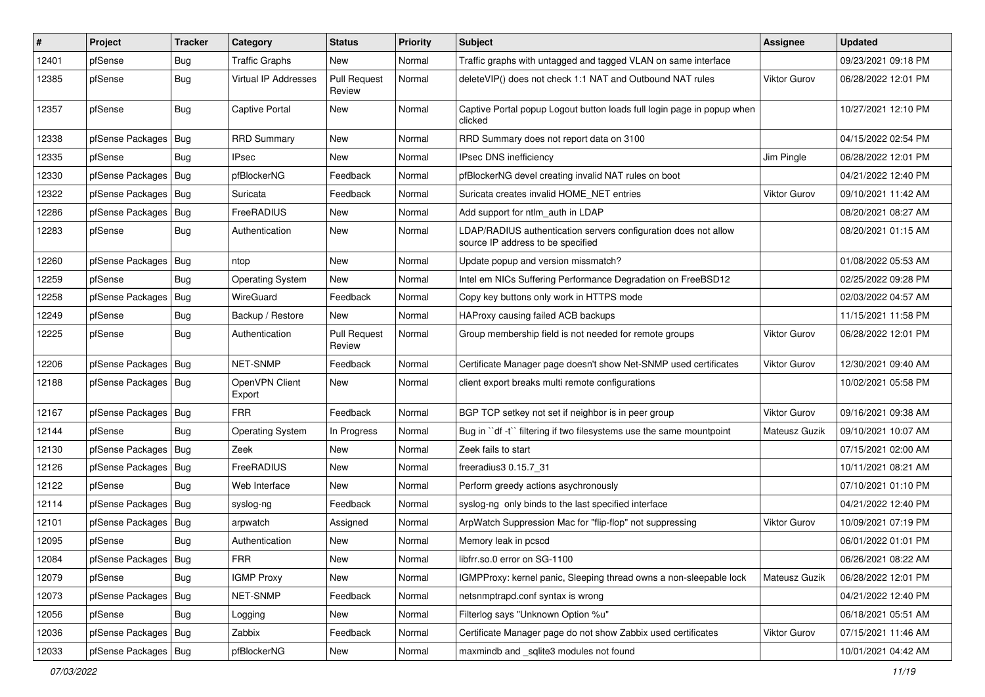| $\vert$ # | Project                | <b>Tracker</b> | Category                 | <b>Status</b>                 | <b>Priority</b> | Subject                                                                                              | <b>Assignee</b>     | <b>Updated</b>      |
|-----------|------------------------|----------------|--------------------------|-------------------------------|-----------------|------------------------------------------------------------------------------------------------------|---------------------|---------------------|
| 12401     | pfSense                | Bug            | <b>Traffic Graphs</b>    | New                           | Normal          | Traffic graphs with untagged and tagged VLAN on same interface                                       |                     | 09/23/2021 09:18 PM |
| 12385     | pfSense                | <b>Bug</b>     | Virtual IP Addresses     | <b>Pull Request</b><br>Review | Normal          | deleteVIP() does not check 1:1 NAT and Outbound NAT rules                                            | <b>Viktor Gurov</b> | 06/28/2022 12:01 PM |
| 12357     | pfSense                | Bug            | Captive Portal           | New                           | Normal          | Captive Portal popup Logout button loads full login page in popup when<br>clicked                    |                     | 10/27/2021 12:10 PM |
| 12338     | pfSense Packages       | Bug            | <b>RRD Summary</b>       | New                           | Normal          | RRD Summary does not report data on 3100                                                             |                     | 04/15/2022 02:54 PM |
| 12335     | pfSense                | <b>Bug</b>     | IPsec                    | New                           | Normal          | IPsec DNS inefficiency                                                                               | Jim Pingle          | 06/28/2022 12:01 PM |
| 12330     | pfSense Packages       | <b>Bug</b>     | pfBlockerNG              | Feedback                      | Normal          | pfBlockerNG devel creating invalid NAT rules on boot                                                 |                     | 04/21/2022 12:40 PM |
| 12322     | pfSense Packages       | Bug            | Suricata                 | Feedback                      | Normal          | Suricata creates invalid HOME NET entries                                                            | <b>Viktor Gurov</b> | 09/10/2021 11:42 AM |
| 12286     | pfSense Packages       | <b>Bug</b>     | FreeRADIUS               | New                           | Normal          | Add support for ntlm_auth in LDAP                                                                    |                     | 08/20/2021 08:27 AM |
| 12283     | pfSense                | Bug            | Authentication           | New                           | Normal          | LDAP/RADIUS authentication servers configuration does not allow<br>source IP address to be specified |                     | 08/20/2021 01:15 AM |
| 12260     | pfSense Packages       | <b>Bug</b>     | ntop                     | <b>New</b>                    | Normal          | Update popup and version missmatch?                                                                  |                     | 01/08/2022 05:53 AM |
| 12259     | pfSense                | Bug            | <b>Operating System</b>  | New                           | Normal          | Intel em NICs Suffering Performance Degradation on FreeBSD12                                         |                     | 02/25/2022 09:28 PM |
| 12258     | pfSense Packages       | <b>Bug</b>     | WireGuard                | Feedback                      | Normal          | Copy key buttons only work in HTTPS mode                                                             |                     | 02/03/2022 04:57 AM |
| 12249     | pfSense                | Bug            | Backup / Restore         | New                           | Normal          | HAProxy causing failed ACB backups                                                                   |                     | 11/15/2021 11:58 PM |
| 12225     | pfSense                | Bug            | Authentication           | <b>Pull Request</b><br>Review | Normal          | Group membership field is not needed for remote groups                                               | Viktor Gurov        | 06/28/2022 12:01 PM |
| 12206     | pfSense Packages       | Bug            | NET-SNMP                 | Feedback                      | Normal          | Certificate Manager page doesn't show Net-SNMP used certificates                                     | <b>Viktor Gurov</b> | 12/30/2021 09:40 AM |
| 12188     | pfSense Packages       | Bug            | OpenVPN Client<br>Export | New                           | Normal          | client export breaks multi remote configurations                                                     |                     | 10/02/2021 05:58 PM |
| 12167     | pfSense Packages       | Bug            | FRR                      | Feedback                      | Normal          | BGP TCP setkey not set if neighbor is in peer group                                                  | <b>Viktor Gurov</b> | 09/16/2021 09:38 AM |
| 12144     | pfSense                | Bug            | <b>Operating System</b>  | In Progress                   | Normal          | Bug in "df -t" filtering if two filesystems use the same mountpoint                                  | Mateusz Guzik       | 09/10/2021 10:07 AM |
| 12130     | pfSense Packages       | Bug            | Zeek                     | <b>New</b>                    | Normal          | Zeek fails to start                                                                                  |                     | 07/15/2021 02:00 AM |
| 12126     | pfSense Packages       | <b>Bug</b>     | FreeRADIUS               | New                           | Normal          | freeradius3 0.15.7 31                                                                                |                     | 10/11/2021 08:21 AM |
| 12122     | pfSense                | <b>Bug</b>     | Web Interface            | New                           | Normal          | Perform greedy actions asychronously                                                                 |                     | 07/10/2021 01:10 PM |
| 12114     | pfSense Packages       | <b>Bug</b>     | syslog-ng                | Feedback                      | Normal          | syslog-ng only binds to the last specified interface                                                 |                     | 04/21/2022 12:40 PM |
| 12101     | pfSense Packages       | <b>Bug</b>     | arpwatch                 | Assigned                      | Normal          | ArpWatch Suppression Mac for "flip-flop" not suppressing                                             | <b>Viktor Gurov</b> | 10/09/2021 07:19 PM |
| 12095     | pfSense                | Bug            | Authentication           | New                           | Normal          | Memory leak in pcscd                                                                                 |                     | 06/01/2022 01:01 PM |
| 12084     | pfSense Packages   Bug |                | <b>FRR</b>               | New                           | Normal          | libfrr.so.0 error on SG-1100                                                                         |                     | 06/26/2021 08:22 AM |
| 12079     | pfSense                | Bug            | <b>IGMP Proxy</b>        | New                           | Normal          | IGMPProxy: kernel panic, Sleeping thread owns a non-sleepable lock                                   | Mateusz Guzik       | 06/28/2022 12:01 PM |
| 12073     | pfSense Packages       | Bug            | NET-SNMP                 | Feedback                      | Normal          | netsnmptrapd.conf syntax is wrong                                                                    |                     | 04/21/2022 12:40 PM |
| 12056     | pfSense                | Bug            | Logging                  | New                           | Normal          | Filterlog says "Unknown Option %u"                                                                   |                     | 06/18/2021 05:51 AM |
| 12036     | pfSense Packages       | Bug            | Zabbix                   | Feedback                      | Normal          | Certificate Manager page do not show Zabbix used certificates                                        | Viktor Gurov        | 07/15/2021 11:46 AM |
| 12033     | pfSense Packages   Bug |                | pfBlockerNG              | New                           | Normal          | maxmindb and _sqlite3 modules not found                                                              |                     | 10/01/2021 04:42 AM |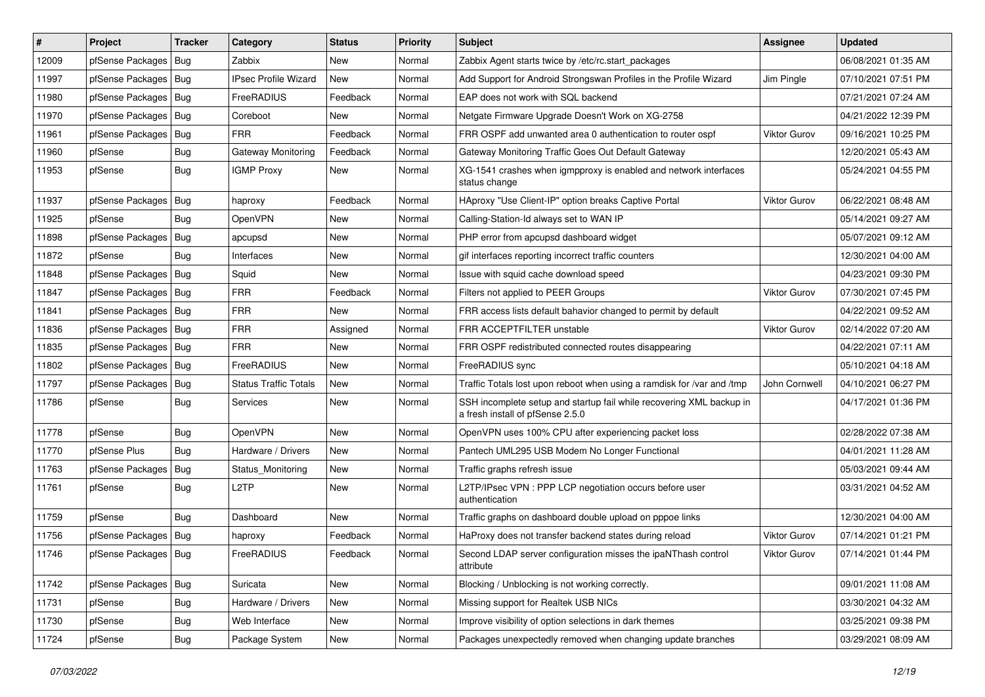| $\vert$ # | Project                | <b>Tracker</b> | Category                    | <b>Status</b> | <b>Priority</b> | <b>Subject</b>                                                                                           | <b>Assignee</b>     | <b>Updated</b>      |
|-----------|------------------------|----------------|-----------------------------|---------------|-----------------|----------------------------------------------------------------------------------------------------------|---------------------|---------------------|
| 12009     | pfSense Packages       | Bug            | Zabbix                      | New           | Normal          | Zabbix Agent starts twice by /etc/rc.start packages                                                      |                     | 06/08/2021 01:35 AM |
| 11997     | pfSense Packages   Bug |                | <b>IPsec Profile Wizard</b> | <b>New</b>    | Normal          | Add Support for Android Strongswan Profiles in the Profile Wizard                                        | Jim Pingle          | 07/10/2021 07:51 PM |
| 11980     | pfSense Packages   Bug |                | FreeRADIUS                  | Feedback      | Normal          | EAP does not work with SQL backend                                                                       |                     | 07/21/2021 07:24 AM |
| 11970     | pfSense Packages   Bug |                | Coreboot                    | New           | Normal          | Netgate Firmware Upgrade Doesn't Work on XG-2758                                                         |                     | 04/21/2022 12:39 PM |
| 11961     | pfSense Packages   Bug |                | <b>FRR</b>                  | Feedback      | Normal          | FRR OSPF add unwanted area 0 authentication to router ospf                                               | Viktor Gurov        | 09/16/2021 10:25 PM |
| 11960     | pfSense                | <b>Bug</b>     | <b>Gateway Monitoring</b>   | Feedback      | Normal          | Gateway Monitoring Traffic Goes Out Default Gateway                                                      |                     | 12/20/2021 05:43 AM |
| 11953     | pfSense                | Bug            | <b>IGMP Proxy</b>           | New           | Normal          | XG-1541 crashes when igmpproxy is enabled and network interfaces<br>status change                        |                     | 05/24/2021 04:55 PM |
| 11937     | pfSense Packages   Bug |                | haproxy                     | Feedback      | Normal          | HAproxy "Use Client-IP" option breaks Captive Portal                                                     | <b>Viktor Gurov</b> | 06/22/2021 08:48 AM |
| 11925     | pfSense                | Bug            | OpenVPN                     | <b>New</b>    | Normal          | Calling-Station-Id always set to WAN IP                                                                  |                     | 05/14/2021 09:27 AM |
| 11898     | pfSense Packages   Bug |                | apcupsd                     | New           | Normal          | PHP error from apcupsd dashboard widget                                                                  |                     | 05/07/2021 09:12 AM |
| 11872     | pfSense                | Bug            | Interfaces                  | <b>New</b>    | Normal          | gif interfaces reporting incorrect traffic counters                                                      |                     | 12/30/2021 04:00 AM |
| 11848     | pfSense Packages       | Bug            | Squid                       | New           | Normal          | Issue with squid cache download speed                                                                    |                     | 04/23/2021 09:30 PM |
| 11847     | pfSense Packages   Bug |                | <b>FRR</b>                  | Feedback      | Normal          | Filters not applied to PEER Groups                                                                       | Viktor Gurov        | 07/30/2021 07:45 PM |
| 11841     | pfSense Packages   Bug |                | <b>FRR</b>                  | <b>New</b>    | Normal          | FRR access lists default bahavior changed to permit by default                                           |                     | 04/22/2021 09:52 AM |
| 11836     | pfSense Packages   Bug |                | <b>FRR</b>                  | Assigned      | Normal          | FRR ACCEPTFILTER unstable                                                                                | Viktor Gurov        | 02/14/2022 07:20 AM |
| 11835     | pfSense Packages   Bug |                | <b>FRR</b>                  | <b>New</b>    | Normal          | FRR OSPF redistributed connected routes disappearing                                                     |                     | 04/22/2021 07:11 AM |
| 11802     | pfSense Packages   Bug |                | FreeRADIUS                  | New           | Normal          | FreeRADIUS sync                                                                                          |                     | 05/10/2021 04:18 AM |
| 11797     | pfSense Packages   Bug |                | Status Traffic Totals       | New           | Normal          | Traffic Totals lost upon reboot when using a ramdisk for /var and /tmp                                   | John Cornwell       | 04/10/2021 06:27 PM |
| 11786     | pfSense                | Bug            | Services                    | New           | Normal          | SSH incomplete setup and startup fail while recovering XML backup in<br>a fresh install of pfSense 2.5.0 |                     | 04/17/2021 01:36 PM |
| 11778     | pfSense                | Bug            | OpenVPN                     | New           | Normal          | OpenVPN uses 100% CPU after experiencing packet loss                                                     |                     | 02/28/2022 07:38 AM |
| 11770     | pfSense Plus           | Bug            | Hardware / Drivers          | <b>New</b>    | Normal          | Pantech UML295 USB Modem No Longer Functional                                                            |                     | 04/01/2021 11:28 AM |
| 11763     | pfSense Packages       | Bug            | Status Monitoring           | New           | Normal          | Traffic graphs refresh issue                                                                             |                     | 05/03/2021 09:44 AM |
| 11761     | pfSense                | Bug            | L2TP                        | <b>New</b>    | Normal          | L2TP/IPsec VPN : PPP LCP negotiation occurs before user<br>authentication                                |                     | 03/31/2021 04:52 AM |
| 11759     | pfSense                | <b>Bug</b>     | Dashboard                   | <b>New</b>    | Normal          | Traffic graphs on dashboard double upload on pppoe links                                                 |                     | 12/30/2021 04:00 AM |
| 11756     | pfSense Packages   Bug |                | haproxy                     | Feedback      | Normal          | HaProxy does not transfer backend states during reload                                                   | Viktor Gurov        | 07/14/2021 01:21 PM |
| 11746     | pfSense Packages   Bug |                | FreeRADIUS                  | Feedback      | Normal          | Second LDAP server configuration misses the ipaNThash control<br>attribute                               | <b>Viktor Gurov</b> | 07/14/2021 01:44 PM |
| 11742     | pfSense Packages   Bug |                | Suricata                    | New           | Normal          | Blocking / Unblocking is not working correctly.                                                          |                     | 09/01/2021 11:08 AM |
| 11731     | pfSense                | <b>Bug</b>     | Hardware / Drivers          | New           | Normal          | Missing support for Realtek USB NICs                                                                     |                     | 03/30/2021 04:32 AM |
| 11730     | pfSense                | Bug            | Web Interface               | New           | Normal          | Improve visibility of option selections in dark themes                                                   |                     | 03/25/2021 09:38 PM |
| 11724     | pfSense                | <b>Bug</b>     | Package System              | New           | Normal          | Packages unexpectedly removed when changing update branches                                              |                     | 03/29/2021 08:09 AM |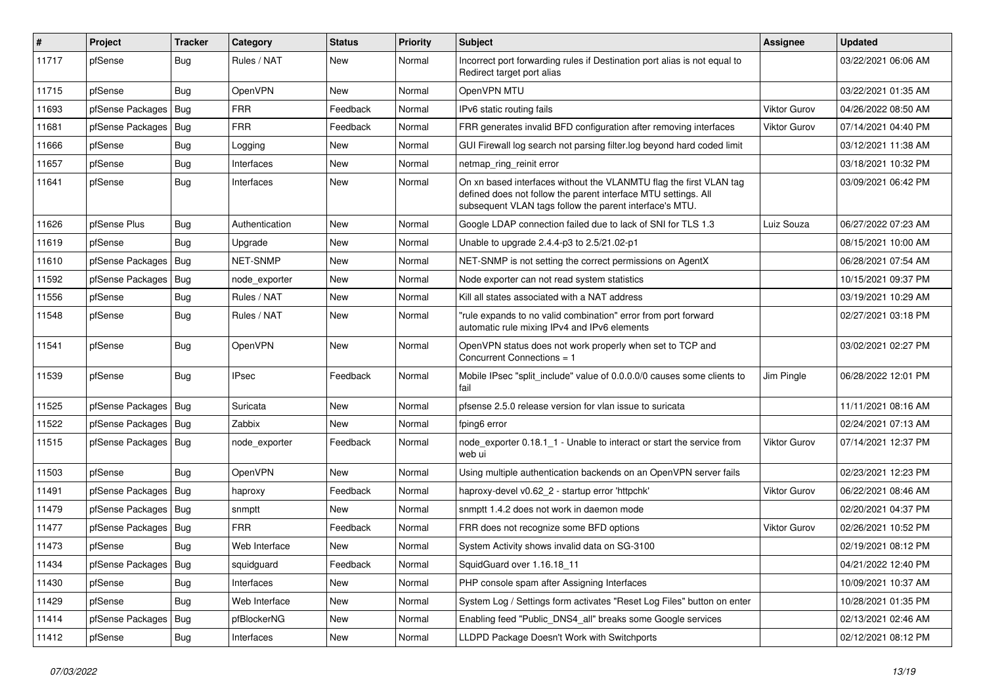| $\#$  | Project                | <b>Tracker</b> | Category       | <b>Status</b> | <b>Priority</b> | <b>Subject</b>                                                                                                                                                                                  | <b>Assignee</b>     | <b>Updated</b>      |
|-------|------------------------|----------------|----------------|---------------|-----------------|-------------------------------------------------------------------------------------------------------------------------------------------------------------------------------------------------|---------------------|---------------------|
| 11717 | pfSense                | Bug            | Rules / NAT    | New           | Normal          | Incorrect port forwarding rules if Destination port alias is not equal to<br>Redirect target port alias                                                                                         |                     | 03/22/2021 06:06 AM |
| 11715 | pfSense                | Bug            | OpenVPN        | New           | Normal          | OpenVPN MTU                                                                                                                                                                                     |                     | 03/22/2021 01:35 AM |
| 11693 | pfSense Packages   Bug |                | <b>FRR</b>     | Feedback      | Normal          | IPv6 static routing fails                                                                                                                                                                       | <b>Viktor Gurov</b> | 04/26/2022 08:50 AM |
| 11681 | pfSense Packages       | Bug            | <b>FRR</b>     | Feedback      | Normal          | FRR generates invalid BFD configuration after removing interfaces                                                                                                                               | <b>Viktor Gurov</b> | 07/14/2021 04:40 PM |
| 11666 | pfSense                | Bug            | Logging        | <b>New</b>    | Normal          | GUI Firewall log search not parsing filter.log beyond hard coded limit                                                                                                                          |                     | 03/12/2021 11:38 AM |
| 11657 | pfSense                | Bug            | Interfaces     | <b>New</b>    | Normal          | netmap_ring_reinit error                                                                                                                                                                        |                     | 03/18/2021 10:32 PM |
| 11641 | pfSense                | Bug            | Interfaces     | New           | Normal          | On xn based interfaces without the VLANMTU flag the first VLAN tag<br>defined does not follow the parent interface MTU settings. All<br>subsequent VLAN tags follow the parent interface's MTU. |                     | 03/09/2021 06:42 PM |
| 11626 | pfSense Plus           | Bug            | Authentication | New           | Normal          | Google LDAP connection failed due to lack of SNI for TLS 1.3                                                                                                                                    | Luiz Souza          | 06/27/2022 07:23 AM |
| 11619 | pfSense                | Bug            | Upgrade        | <b>New</b>    | Normal          | Unable to upgrade 2.4.4-p3 to 2.5/21.02-p1                                                                                                                                                      |                     | 08/15/2021 10:00 AM |
| 11610 | pfSense Packages       | Bug            | NET-SNMP       | <b>New</b>    | Normal          | NET-SNMP is not setting the correct permissions on AgentX                                                                                                                                       |                     | 06/28/2021 07:54 AM |
| 11592 | pfSense Packages       | <b>Bug</b>     | node exporter  | <b>New</b>    | Normal          | Node exporter can not read system statistics                                                                                                                                                    |                     | 10/15/2021 09:37 PM |
| 11556 | pfSense                | Bug            | Rules / NAT    | New           | Normal          | Kill all states associated with a NAT address                                                                                                                                                   |                     | 03/19/2021 10:29 AM |
| 11548 | pfSense                | Bug            | Rules / NAT    | New           | Normal          | "rule expands to no valid combination" error from port forward<br>automatic rule mixing IPv4 and IPv6 elements                                                                                  |                     | 02/27/2021 03:18 PM |
| 11541 | pfSense                | Bug            | OpenVPN        | <b>New</b>    | Normal          | OpenVPN status does not work properly when set to TCP and<br>Concurrent Connections = 1                                                                                                         |                     | 03/02/2021 02:27 PM |
| 11539 | pfSense                | Bug            | <b>IPsec</b>   | Feedback      | Normal          | Mobile IPsec "split include" value of 0.0.0.0/0 causes some clients to<br>fail                                                                                                                  | Jim Pingle          | 06/28/2022 12:01 PM |
| 11525 | pfSense Packages       | Bug            | Suricata       | <b>New</b>    | Normal          | pfsense 2.5.0 release version for vlan issue to suricata                                                                                                                                        |                     | 11/11/2021 08:16 AM |
| 11522 | pfSense Packages       | Bug            | Zabbix         | New           | Normal          | fping6 error                                                                                                                                                                                    |                     | 02/24/2021 07:13 AM |
| 11515 | pfSense Packages       | Bug            | node exporter  | Feedback      | Normal          | node exporter 0.18.1 1 - Unable to interact or start the service from<br>web ui                                                                                                                 | Viktor Gurov        | 07/14/2021 12:37 PM |
| 11503 | pfSense                | Bug            | OpenVPN        | <b>New</b>    | Normal          | Using multiple authentication backends on an OpenVPN server fails                                                                                                                               |                     | 02/23/2021 12:23 PM |
| 11491 | pfSense Packages       | Bug            | haproxy        | Feedback      | Normal          | haproxy-devel v0.62 2 - startup error 'httpchk'                                                                                                                                                 | <b>Viktor Gurov</b> | 06/22/2021 08:46 AM |
| 11479 | pfSense Packages       | Bug            | snmptt         | New           | Normal          | snmptt 1.4.2 does not work in daemon mode                                                                                                                                                       |                     | 02/20/2021 04:37 PM |
| 11477 | pfSense Packages       | Bug            | <b>FRR</b>     | Feedback      | Normal          | FRR does not recognize some BFD options                                                                                                                                                         | <b>Viktor Gurov</b> | 02/26/2021 10:52 PM |
| 11473 | pfSense                | <b>Bug</b>     | Web Interface  | New           | Normal          | System Activity shows invalid data on SG-3100                                                                                                                                                   |                     | 02/19/2021 08:12 PM |
| 11434 | pfSense Packages   Bug |                | squidguard     | Feedback      | Normal          | SquidGuard over 1.16.18_11                                                                                                                                                                      |                     | 04/21/2022 12:40 PM |
| 11430 | pfSense                | Bug            | Interfaces     | New           | Normal          | PHP console spam after Assigning Interfaces                                                                                                                                                     |                     | 10/09/2021 10:37 AM |
| 11429 | pfSense                | <b>Bug</b>     | Web Interface  | New           | Normal          | System Log / Settings form activates "Reset Log Files" button on enter                                                                                                                          |                     | 10/28/2021 01:35 PM |
| 11414 | pfSense Packages       | Bug            | pfBlockerNG    | New           | Normal          | Enabling feed "Public_DNS4_all" breaks some Google services                                                                                                                                     |                     | 02/13/2021 02:46 AM |
| 11412 | pfSense                | Bug            | Interfaces     | New           | Normal          | LLDPD Package Doesn't Work with Switchports                                                                                                                                                     |                     | 02/12/2021 08:12 PM |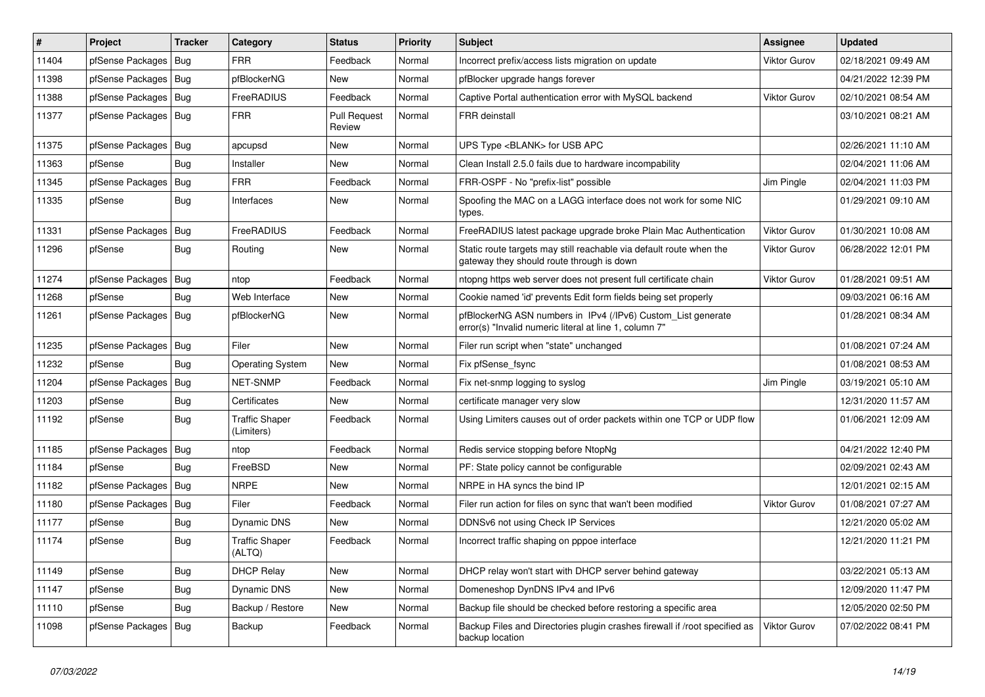| $\pmb{\#}$ | Project                | <b>Tracker</b> | Category                            | <b>Status</b>                 | <b>Priority</b> | <b>Subject</b>                                                                                                         | <b>Assignee</b>     | <b>Updated</b>      |
|------------|------------------------|----------------|-------------------------------------|-------------------------------|-----------------|------------------------------------------------------------------------------------------------------------------------|---------------------|---------------------|
| 11404      | pfSense Packages       | i Bug          | FRR                                 | Feedback                      | Normal          | Incorrect prefix/access lists migration on update                                                                      | Viktor Gurov        | 02/18/2021 09:49 AM |
| 11398      | pfSense Packages       | Bug            | pfBlockerNG                         | <b>New</b>                    | Normal          | pfBlocker upgrade hangs forever                                                                                        |                     | 04/21/2022 12:39 PM |
| 11388      | pfSense Packages       | Bug            | FreeRADIUS                          | Feedback                      | Normal          | Captive Portal authentication error with MySQL backend                                                                 | <b>Viktor Gurov</b> | 02/10/2021 08:54 AM |
| 11377      | pfSense Packages   Bug |                | <b>FRR</b>                          | <b>Pull Request</b><br>Review | Normal          | <b>FRR</b> deinstall                                                                                                   |                     | 03/10/2021 08:21 AM |
| 11375      | pfSense Packages       | Bug            | apcupsd                             | <b>New</b>                    | Normal          | UPS Type <blank> for USB APC</blank>                                                                                   |                     | 02/26/2021 11:10 AM |
| 11363      | pfSense                | Bug            | Installer                           | <b>New</b>                    | Normal          | Clean Install 2.5.0 fails due to hardware incompability                                                                |                     | 02/04/2021 11:06 AM |
| 11345      | pfSense Packages       | Bug            | <b>FRR</b>                          | Feedback                      | Normal          | FRR-OSPF - No "prefix-list" possible                                                                                   | Jim Pingle          | 02/04/2021 11:03 PM |
| 11335      | pfSense                | Bug            | Interfaces                          | New                           | Normal          | Spoofing the MAC on a LAGG interface does not work for some NIC<br>types.                                              |                     | 01/29/2021 09:10 AM |
| 11331      | pfSense Packages       | Bug            | FreeRADIUS                          | Feedback                      | Normal          | FreeRADIUS latest package upgrade broke Plain Mac Authentication                                                       | <b>Viktor Gurov</b> | 01/30/2021 10:08 AM |
| 11296      | pfSense                | Bug            | Routing                             | <b>New</b>                    | Normal          | Static route targets may still reachable via default route when the<br>gateway they should route through is down       | Viktor Gurov        | 06/28/2022 12:01 PM |
| 11274      | pfSense Packages       | Bug            | ntop                                | Feedback                      | Normal          | ntopng https web server does not present full certificate chain                                                        | Viktor Gurov        | 01/28/2021 09:51 AM |
| 11268      | pfSense                | Bug            | Web Interface                       | <b>New</b>                    | Normal          | Cookie named 'id' prevents Edit form fields being set properly                                                         |                     | 09/03/2021 06:16 AM |
| 11261      | pfSense Packages       | Bug            | pfBlockerNG                         | New                           | Normal          | pfBlockerNG ASN numbers in IPv4 (/IPv6) Custom_List generate<br>error(s) "Invalid numeric literal at line 1, column 7" |                     | 01/28/2021 08:34 AM |
| 11235      | pfSense Packages       | Bug            | Filer                               | <b>New</b>                    | Normal          | Filer run script when "state" unchanged                                                                                |                     | 01/08/2021 07:24 AM |
| 11232      | pfSense                | Bug            | <b>Operating System</b>             | New                           | Normal          | Fix pfSense fsync                                                                                                      |                     | 01/08/2021 08:53 AM |
| 11204      | pfSense Packages       | Bug            | NET-SNMP                            | Feedback                      | Normal          | Fix net-snmp logging to syslog                                                                                         | Jim Pingle          | 03/19/2021 05:10 AM |
| 11203      | pfSense                | Bug            | Certificates                        | New                           | Normal          | certificate manager very slow                                                                                          |                     | 12/31/2020 11:57 AM |
| 11192      | pfSense                | Bug            | <b>Traffic Shaper</b><br>(Limiters) | Feedback                      | Normal          | Using Limiters causes out of order packets within one TCP or UDP flow                                                  |                     | 01/06/2021 12:09 AM |
| 11185      | pfSense Packages       | <b>Bug</b>     | ntop                                | Feedback                      | Normal          | Redis service stopping before NtopNg                                                                                   |                     | 04/21/2022 12:40 PM |
| 11184      | pfSense                | Bug            | FreeBSD                             | New                           | Normal          | PF: State policy cannot be configurable                                                                                |                     | 02/09/2021 02:43 AM |
| 11182      | pfSense Packages       | Bug            | <b>NRPE</b>                         | <b>New</b>                    | Normal          | NRPE in HA syncs the bind IP                                                                                           |                     | 12/01/2021 02:15 AM |
| 11180      | pfSense Packages       | Bug            | Filer                               | Feedback                      | Normal          | Filer run action for files on sync that wan't been modified                                                            | <b>Viktor Gurov</b> | 01/08/2021 07:27 AM |
| 11177      | pfSense                | Bug            | <b>Dynamic DNS</b>                  | New                           | Normal          | DDNSv6 not using Check IP Services                                                                                     |                     | 12/21/2020 05:02 AM |
| 11174      | pfSense                | Bug            | <b>Traffic Shaper</b><br>(ALTQ)     | Feedback                      | Normal          | Incorrect traffic shaping on pppoe interface                                                                           |                     | 12/21/2020 11:21 PM |
| 11149      | pfSense                | <b>Bug</b>     | <b>DHCP Relay</b>                   | New                           | Normal          | DHCP relay won't start with DHCP server behind gateway                                                                 |                     | 03/22/2021 05:13 AM |
| 11147      | pfSense                | <b>Bug</b>     | Dynamic DNS                         | New                           | Normal          | Domeneshop DynDNS IPv4 and IPv6                                                                                        |                     | 12/09/2020 11:47 PM |
| 11110      | pfSense                | Bug            | Backup / Restore                    | New                           | Normal          | Backup file should be checked before restoring a specific area                                                         |                     | 12/05/2020 02:50 PM |
| 11098      | pfSense Packages   Bug |                | Backup                              | Feedback                      | Normal          | Backup Files and Directories plugin crashes firewall if /root specified as<br>backup location                          | Viktor Gurov        | 07/02/2022 08:41 PM |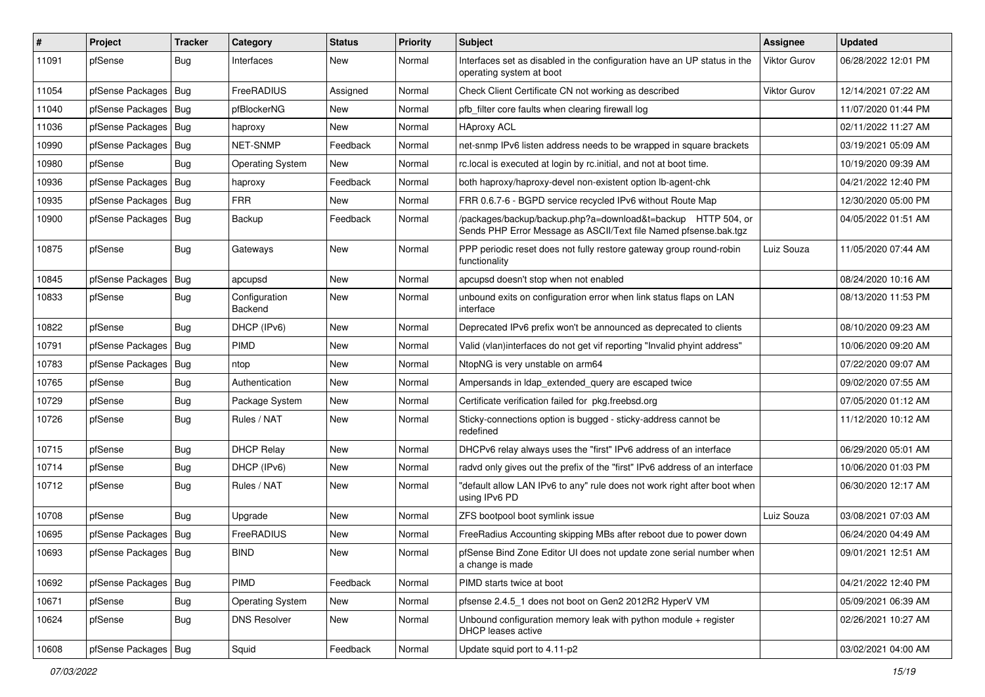| #     | Project                | <b>Tracker</b> | Category                        | <b>Status</b> | <b>Priority</b> | Subject                                                                                                                          | Assignee            | <b>Updated</b>      |
|-------|------------------------|----------------|---------------------------------|---------------|-----------------|----------------------------------------------------------------------------------------------------------------------------------|---------------------|---------------------|
| 11091 | pfSense                | <b>Bug</b>     | Interfaces                      | New           | Normal          | Interfaces set as disabled in the configuration have an UP status in the<br>operating system at boot                             | Viktor Gurov        | 06/28/2022 12:01 PM |
| 11054 | pfSense Packages       | Bug            | FreeRADIUS                      | Assigned      | Normal          | Check Client Certificate CN not working as described                                                                             | <b>Viktor Gurov</b> | 12/14/2021 07:22 AM |
| 11040 | pfSense Packages   Bug |                | pfBlockerNG                     | New           | Normal          | pfb filter core faults when clearing firewall log                                                                                |                     | 11/07/2020 01:44 PM |
| 11036 | pfSense Packages       | Bug            | haproxy                         | New           | Normal          | <b>HAproxy ACL</b>                                                                                                               |                     | 02/11/2022 11:27 AM |
| 10990 | pfSense Packages       | Bug            | <b>NET-SNMP</b>                 | Feedback      | Normal          | net-snmp IPv6 listen address needs to be wrapped in square brackets                                                              |                     | 03/19/2021 05:09 AM |
| 10980 | pfSense                | Bug            | <b>Operating System</b>         | New           | Normal          | rc.local is executed at login by rc.initial, and not at boot time.                                                               |                     | 10/19/2020 09:39 AM |
| 10936 | pfSense Packages       | Bug            | haproxy                         | Feedback      | Normal          | both haproxy/haproxy-devel non-existent option lb-agent-chk                                                                      |                     | 04/21/2022 12:40 PM |
| 10935 | pfSense Packages       | Bug            | <b>FRR</b>                      | New           | Normal          | FRR 0.6.7-6 - BGPD service recycled IPv6 without Route Map                                                                       |                     | 12/30/2020 05:00 PM |
| 10900 | pfSense Packages   Bug |                | Backup                          | Feedback      | Normal          | /packages/backup/backup.php?a=download&t=backup HTTP 504, or<br>Sends PHP Error Message as ASCII/Text file Named pfsense.bak.tgz |                     | 04/05/2022 01:51 AM |
| 10875 | pfSense                | Bug            | Gateways                        | New           | Normal          | PPP periodic reset does not fully restore gateway group round-robin<br>functionality                                             | Luiz Souza          | 11/05/2020 07:44 AM |
| 10845 | pfSense Packages       | <b>Bug</b>     | apcupsd                         | New           | Normal          | apcupsd doesn't stop when not enabled                                                                                            |                     | 08/24/2020 10:16 AM |
| 10833 | pfSense                | Bug            | Configuration<br><b>Backend</b> | New           | Normal          | unbound exits on configuration error when link status flaps on LAN<br>interface                                                  |                     | 08/13/2020 11:53 PM |
| 10822 | pfSense                | Bug            | DHCP (IPv6)                     | New           | Normal          | Deprecated IPv6 prefix won't be announced as deprecated to clients                                                               |                     | 08/10/2020 09:23 AM |
| 10791 | pfSense Packages       | Bug            | <b>PIMD</b>                     | <b>New</b>    | Normal          | Valid (vlan)interfaces do not get vif reporting "Invalid phyint address"                                                         |                     | 10/06/2020 09:20 AM |
| 10783 | pfSense Packages       | Bug            | ntop                            | New           | Normal          | NtopNG is very unstable on arm64                                                                                                 |                     | 07/22/2020 09:07 AM |
| 10765 | pfSense                | <b>Bug</b>     | Authentication                  | New           | Normal          | Ampersands in Idap_extended_query are escaped twice                                                                              |                     | 09/02/2020 07:55 AM |
| 10729 | pfSense                | Bug            | Package System                  | New           | Normal          | Certificate verification failed for pkg.freebsd.org                                                                              |                     | 07/05/2020 01:12 AM |
| 10726 | pfSense                | <b>Bug</b>     | Rules / NAT                     | New           | Normal          | Sticky-connections option is bugged - sticky-address cannot be<br>redefined                                                      |                     | 11/12/2020 10:12 AM |
| 10715 | pfSense                | Bug            | <b>DHCP Relay</b>               | <b>New</b>    | Normal          | DHCPv6 relay always uses the "first" IPv6 address of an interface                                                                |                     | 06/29/2020 05:01 AM |
| 10714 | pfSense                | Bug            | DHCP (IPv6)                     | New           | Normal          | radyd only gives out the prefix of the "first" IPv6 address of an interface                                                      |                     | 10/06/2020 01:03 PM |
| 10712 | pfSense                | <b>Bug</b>     | Rules / NAT                     | New           | Normal          | "default allow LAN IPv6 to any" rule does not work right after boot when<br>using IPv6 PD                                        |                     | 06/30/2020 12:17 AM |
| 10708 | pfSense                | Bug            | Upgrade                         | New           | Normal          | ZFS bootpool boot symlink issue                                                                                                  | Luiz Souza          | 03/08/2021 07:03 AM |
| 10695 | pfSense Packages       | Bug            | FreeRADIUS                      | New           | Normal          | FreeRadius Accounting skipping MBs after reboot due to power down                                                                |                     | 06/24/2020 04:49 AM |
| 10693 | pfSense Packages   Bug |                | <b>BIND</b>                     | New           | Normal          | pfSense Bind Zone Editor UI does not update zone serial number when<br>a change is made                                          |                     | 09/01/2021 12:51 AM |
| 10692 | pfSense Packages       | Bug            | PIMD                            | Feedback      | Normal          | PIMD starts twice at boot                                                                                                        |                     | 04/21/2022 12:40 PM |
| 10671 | pfSense                | Bug            | <b>Operating System</b>         | New           | Normal          | pfsense 2.4.5_1 does not boot on Gen2 2012R2 HyperV VM                                                                           |                     | 05/09/2021 06:39 AM |
| 10624 | pfSense                | Bug            | <b>DNS Resolver</b>             | New           | Normal          | Unbound configuration memory leak with python module $+$ register<br>DHCP leases active                                          |                     | 02/26/2021 10:27 AM |
| 10608 | pfSense Packages   Bug |                | Squid                           | Feedback      | Normal          | Update squid port to 4.11-p2                                                                                                     |                     | 03/02/2021 04:00 AM |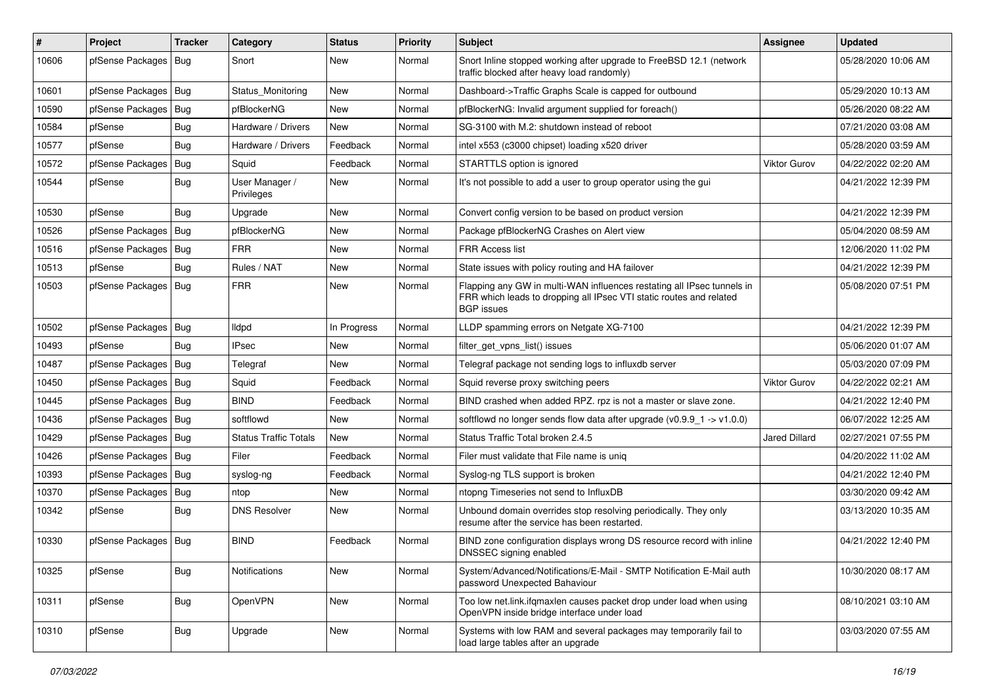| $\sharp$ | Project                | Tracker    | Category                     | <b>Status</b> | <b>Priority</b> | <b>Subject</b>                                                                                                                                                     | <b>Assignee</b>     | <b>Updated</b>      |
|----------|------------------------|------------|------------------------------|---------------|-----------------|--------------------------------------------------------------------------------------------------------------------------------------------------------------------|---------------------|---------------------|
| 10606    | pfSense Packages       | Bug        | Snort                        | <b>New</b>    | Normal          | Snort Inline stopped working after upgrade to FreeBSD 12.1 (network<br>traffic blocked after heavy load randomly)                                                  |                     | 05/28/2020 10:06 AM |
| 10601    | pfSense Packages   Bug |            | Status Monitoring            | New           | Normal          | Dashboard->Traffic Graphs Scale is capped for outbound                                                                                                             |                     | 05/29/2020 10:13 AM |
| 10590    | pfSense Packages   Bug |            | pfBlockerNG                  | <b>New</b>    | Normal          | pfBlockerNG: Invalid argument supplied for foreach()                                                                                                               |                     | 05/26/2020 08:22 AM |
| 10584    | pfSense                | Bug        | Hardware / Drivers           | <b>New</b>    | Normal          | SG-3100 with M.2: shutdown instead of reboot                                                                                                                       |                     | 07/21/2020 03:08 AM |
| 10577    | pfSense                | <b>Bug</b> | Hardware / Drivers           | Feedback      | Normal          | intel x553 (c3000 chipset) loading x520 driver                                                                                                                     |                     | 05/28/2020 03:59 AM |
| 10572    | pfSense Packages       | Bug        | Squid                        | Feedback      | Normal          | STARTTLS option is ignored                                                                                                                                         | <b>Viktor Gurov</b> | 04/22/2022 02:20 AM |
| 10544    | pfSense                | <b>Bug</b> | User Manager /<br>Privileges | New           | Normal          | It's not possible to add a user to group operator using the gui                                                                                                    |                     | 04/21/2022 12:39 PM |
| 10530    | pfSense                | <b>Bug</b> | Upgrade                      | <b>New</b>    | Normal          | Convert config version to be based on product version                                                                                                              |                     | 04/21/2022 12:39 PM |
| 10526    | pfSense Packages       | Bug        | pfBlockerNG                  | <b>New</b>    | Normal          | Package pfBlockerNG Crashes on Alert view                                                                                                                          |                     | 05/04/2020 08:59 AM |
| 10516    | pfSense Packages   Bug |            | <b>FRR</b>                   | New           | Normal          | <b>FRR Access list</b>                                                                                                                                             |                     | 12/06/2020 11:02 PM |
| 10513    | pfSense                | Bug        | Rules / NAT                  | <b>New</b>    | Normal          | State issues with policy routing and HA failover                                                                                                                   |                     | 04/21/2022 12:39 PM |
| 10503    | pfSense Packages       | Bug        | <b>FRR</b>                   | New           | Normal          | Flapping any GW in multi-WAN influences restating all IPsec tunnels in<br>FRR which leads to dropping all IPsec VTI static routes and related<br><b>BGP</b> issues |                     | 05/08/2020 07:51 PM |
| 10502    | pfSense Packages   Bug |            | lldpd                        | In Progress   | Normal          | LLDP spamming errors on Netgate XG-7100                                                                                                                            |                     | 04/21/2022 12:39 PM |
| 10493    | pfSense                | <b>Bug</b> | <b>IPsec</b>                 | <b>New</b>    | Normal          | filter_get_vpns_list() issues                                                                                                                                      |                     | 05/06/2020 01:07 AM |
| 10487    | pfSense Packages   Bug |            | Telegraf                     | New           | Normal          | Telegraf package not sending logs to influxdb server                                                                                                               |                     | 05/03/2020 07:09 PM |
| 10450    | pfSense Packages       | Bug        | Squid                        | Feedback      | Normal          | Squid reverse proxy switching peers                                                                                                                                | Viktor Gurov        | 04/22/2022 02:21 AM |
| 10445    | pfSense Packages       | Bug        | <b>BIND</b>                  | Feedback      | Normal          | BIND crashed when added RPZ. rpz is not a master or slave zone.                                                                                                    |                     | 04/21/2022 12:40 PM |
| 10436    | pfSense Packages   Bug |            | softflowd                    | New           | Normal          | softflowd no longer sends flow data after upgrade ( $v0.9.9$ 1 -> $v1.0.0$ )                                                                                       |                     | 06/07/2022 12:25 AM |
| 10429    | pfSense Packages       | Bug        | <b>Status Traffic Totals</b> | <b>New</b>    | Normal          | Status Traffic Total broken 2.4.5                                                                                                                                  | Jared Dillard       | 02/27/2021 07:55 PM |
| 10426    | pfSense Packages       | Bug        | Filer                        | Feedback      | Normal          | Filer must validate that File name is uniq                                                                                                                         |                     | 04/20/2022 11:02 AM |
| 10393    | pfSense Packages   Bug |            | syslog-ng                    | Feedback      | Normal          | Syslog-ng TLS support is broken                                                                                                                                    |                     | 04/21/2022 12:40 PM |
| 10370    | pfSense Packages       | <b>Bug</b> | ntop                         | <b>New</b>    | Normal          | ntopng Timeseries not send to InfluxDB                                                                                                                             |                     | 03/30/2020 09:42 AM |
| 10342    | pfSense                | <b>Bug</b> | <b>DNS Resolver</b>          | <b>New</b>    | Normal          | Unbound domain overrides stop resolving periodically. They only<br>resume after the service has been restarted.                                                    |                     | 03/13/2020 10:35 AM |
| 10330    | pfSense Packages       | Bug        | <b>BIND</b>                  | Feedback      | Normal          | BIND zone configuration displays wrong DS resource record with inline<br>DNSSEC signing enabled                                                                    |                     | 04/21/2022 12:40 PM |
| 10325    | pfSense                | Bug        | Notifications                | New           | Normal          | System/Advanced/Notifications/E-Mail - SMTP Notification E-Mail auth<br>password Unexpected Bahaviour                                                              |                     | 10/30/2020 08:17 AM |
| 10311    | pfSense                | Bug        | OpenVPN                      | New           | Normal          | Too low net.link.ifgmaxlen causes packet drop under load when using<br>OpenVPN inside bridge interface under load                                                  |                     | 08/10/2021 03:10 AM |
| 10310    | pfSense                | <b>Bug</b> | Upgrade                      | New           | Normal          | Systems with low RAM and several packages may temporarily fail to<br>load large tables after an upgrade                                                            |                     | 03/03/2020 07:55 AM |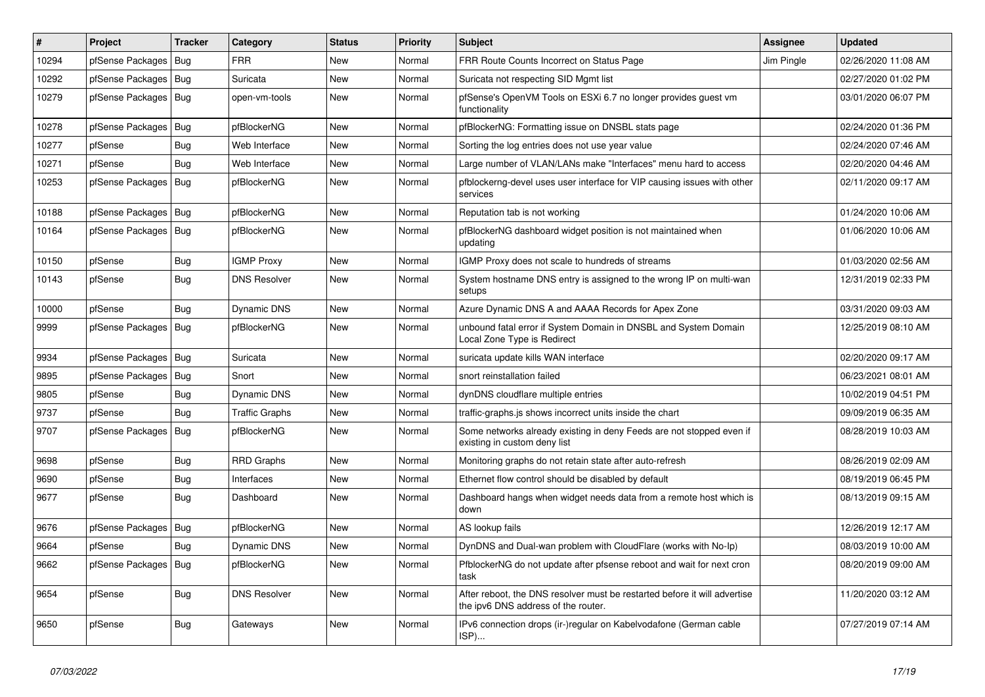| #     | Project                | <b>Tracker</b> | Category              | <b>Status</b> | <b>Priority</b> | <b>Subject</b>                                                                                                   | <b>Assignee</b> | <b>Updated</b>      |
|-------|------------------------|----------------|-----------------------|---------------|-----------------|------------------------------------------------------------------------------------------------------------------|-----------------|---------------------|
| 10294 | pfSense Packages       | <b>Bug</b>     | FRR                   | <b>New</b>    | Normal          | FRR Route Counts Incorrect on Status Page                                                                        | Jim Pingle      | 02/26/2020 11:08 AM |
| 10292 | pfSense Packages       | Bug            | Suricata              | <b>New</b>    | Normal          | Suricata not respecting SID Mgmt list                                                                            |                 | 02/27/2020 01:02 PM |
| 10279 | pfSense Packages   Bug |                | open-vm-tools         | New           | Normal          | pfSense's OpenVM Tools on ESXi 6.7 no longer provides guest vm<br>functionality                                  |                 | 03/01/2020 06:07 PM |
| 10278 | pfSense Packages       | Bug            | pfBlockerNG           | New           | Normal          | pfBlockerNG: Formatting issue on DNSBL stats page                                                                |                 | 02/24/2020 01:36 PM |
| 10277 | pfSense                | Bug            | Web Interface         | <b>New</b>    | Normal          | Sorting the log entries does not use year value                                                                  |                 | 02/24/2020 07:46 AM |
| 10271 | pfSense                | <b>Bug</b>     | Web Interface         | New           | Normal          | Large number of VLAN/LANs make "Interfaces" menu hard to access                                                  |                 | 02/20/2020 04:46 AM |
| 10253 | pfSense Packages       | Bug            | pfBlockerNG           | <b>New</b>    | Normal          | pfblockerng-devel uses user interface for VIP causing issues with other<br>services                              |                 | 02/11/2020 09:17 AM |
| 10188 | pfSense Packages       | Bug            | pfBlockerNG           | <b>New</b>    | Normal          | Reputation tab is not working                                                                                    |                 | 01/24/2020 10:06 AM |
| 10164 | pfSense Packages       | Bug            | pfBlockerNG           | <b>New</b>    | Normal          | pfBlockerNG dashboard widget position is not maintained when<br>updating                                         |                 | 01/06/2020 10:06 AM |
| 10150 | pfSense                | Bug            | <b>IGMP Proxy</b>     | New           | Normal          | IGMP Proxy does not scale to hundreds of streams                                                                 |                 | 01/03/2020 02:56 AM |
| 10143 | pfSense                | Bug            | <b>DNS Resolver</b>   | New           | Normal          | System hostname DNS entry is assigned to the wrong IP on multi-wan<br>setups                                     |                 | 12/31/2019 02:33 PM |
| 10000 | pfSense                | Bug            | <b>Dynamic DNS</b>    | <b>New</b>    | Normal          | Azure Dynamic DNS A and AAAA Records for Apex Zone                                                               |                 | 03/31/2020 09:03 AM |
| 9999  | pfSense Packages       | Bug            | pfBlockerNG           | New           | Normal          | unbound fatal error if System Domain in DNSBL and System Domain<br>Local Zone Type is Redirect                   |                 | 12/25/2019 08:10 AM |
| 9934  | pfSense Packages       | Bug            | Suricata              | <b>New</b>    | Normal          | suricata update kills WAN interface                                                                              |                 | 02/20/2020 09:17 AM |
| 9895  | pfSense Packages       | Bug            | Snort                 | New           | Normal          | snort reinstallation failed                                                                                      |                 | 06/23/2021 08:01 AM |
| 9805  | pfSense                | Bug            | Dynamic DNS           | New           | Normal          | dynDNS cloudflare multiple entries                                                                               |                 | 10/02/2019 04:51 PM |
| 9737  | pfSense                | <b>Bug</b>     | <b>Traffic Graphs</b> | New           | Normal          | traffic-graphs.js shows incorrect units inside the chart                                                         |                 | 09/09/2019 06:35 AM |
| 9707  | pfSense Packages       | Bug            | pfBlockerNG           | <b>New</b>    | Normal          | Some networks already existing in deny Feeds are not stopped even if<br>existing in custom deny list             |                 | 08/28/2019 10:03 AM |
| 9698  | pfSense                | Bug            | <b>RRD Graphs</b>     | <b>New</b>    | Normal          | Monitoring graphs do not retain state after auto-refresh                                                         |                 | 08/26/2019 02:09 AM |
| 9690  | pfSense                | Bug            | Interfaces            | <b>New</b>    | Normal          | Ethernet flow control should be disabled by default                                                              |                 | 08/19/2019 06:45 PM |
| 9677  | pfSense                | <b>Bug</b>     | Dashboard             | New           | Normal          | Dashboard hangs when widget needs data from a remote host which is<br>down                                       |                 | 08/13/2019 09:15 AM |
| 9676  | pfSense Packages       | Bug            | pfBlockerNG           | <b>New</b>    | Normal          | AS lookup fails                                                                                                  |                 | 12/26/2019 12:17 AM |
| 9664  | pfSense                | Bug            | <b>Dynamic DNS</b>    | New           | Normal          | DynDNS and Dual-wan problem with CloudFlare (works with No-Ip)                                                   |                 | 08/03/2019 10:00 AM |
| 9662  | pfSense Packages       | Bug            | pfBlockerNG           | New           | Normal          | PfblockerNG do not update after pfsense reboot and wait for next cron<br>task                                    |                 | 08/20/2019 09:00 AM |
| 9654  | pfSense                | <b>Bug</b>     | <b>DNS Resolver</b>   | <b>New</b>    | Normal          | After reboot, the DNS resolver must be restarted before it will advertise<br>the ipv6 DNS address of the router. |                 | 11/20/2020 03:12 AM |
| 9650  | pfSense                | Bug            | Gateways              | <b>New</b>    | Normal          | IPv6 connection drops (ir-)regular on Kabelvodafone (German cable<br>ISP)                                        |                 | 07/27/2019 07:14 AM |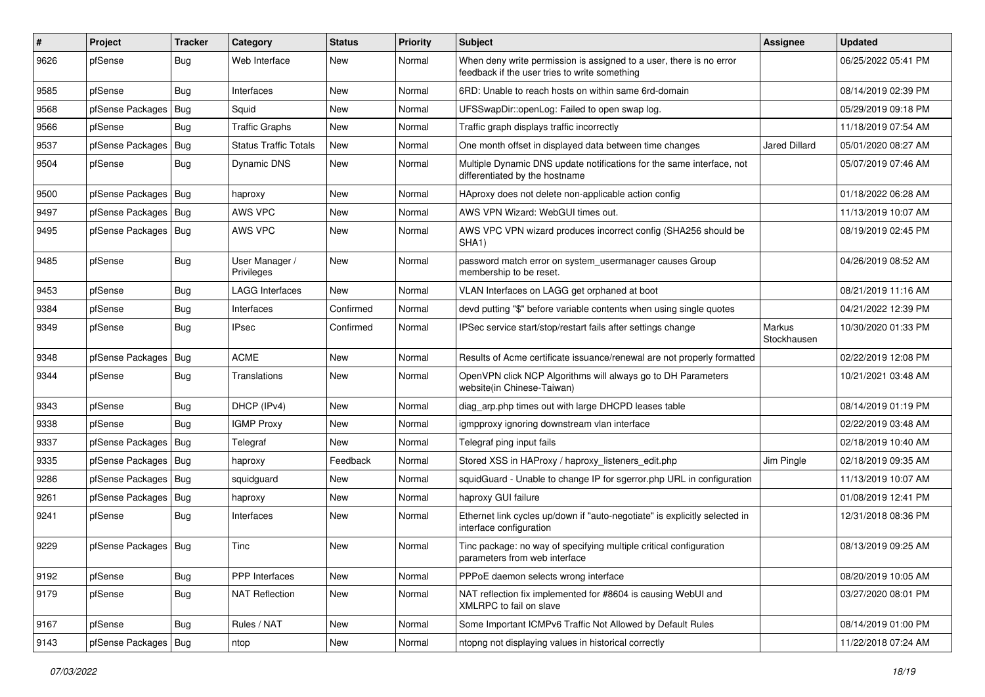| ∦    | Project          | <b>Tracker</b> | Category                     | <b>Status</b> | <b>Priority</b> | Subject                                                                                                              | Assignee              | <b>Updated</b>      |
|------|------------------|----------------|------------------------------|---------------|-----------------|----------------------------------------------------------------------------------------------------------------------|-----------------------|---------------------|
| 9626 | pfSense          | Bug            | Web Interface                | New           | Normal          | When deny write permission is assigned to a user, there is no error<br>feedback if the user tries to write something |                       | 06/25/2022 05:41 PM |
| 9585 | pfSense          | <b>Bug</b>     | Interfaces                   | New           | Normal          | 6RD: Unable to reach hosts on within same 6rd-domain                                                                 |                       | 08/14/2019 02:39 PM |
| 9568 | pfSense Packages | Bug            | Squid                        | <b>New</b>    | Normal          | UFSSwapDir::openLog: Failed to open swap log.                                                                        |                       | 05/29/2019 09:18 PM |
| 9566 | pfSense          | <b>Bug</b>     | <b>Traffic Graphs</b>        | <b>New</b>    | Normal          | Traffic graph displays traffic incorrectly                                                                           |                       | 11/18/2019 07:54 AM |
| 9537 | pfSense Packages | <b>Bug</b>     | Status Traffic Totals        | New           | Normal          | One month offset in displayed data between time changes                                                              | Jared Dillard         | 05/01/2020 08:27 AM |
| 9504 | pfSense          | <b>Bug</b>     | Dynamic DNS                  | New           | Normal          | Multiple Dynamic DNS update notifications for the same interface, not<br>differentiated by the hostname              |                       | 05/07/2019 07:46 AM |
| 9500 | pfSense Packages | Bug            | haproxy                      | <b>New</b>    | Normal          | HAproxy does not delete non-applicable action config                                                                 |                       | 01/18/2022 06:28 AM |
| 9497 | pfSense Packages | Bug            | AWS VPC                      | <b>New</b>    | Normal          | AWS VPN Wizard: WebGUI times out.                                                                                    |                       | 11/13/2019 10:07 AM |
| 9495 | pfSense Packages | Bug            | AWS VPC                      | New           | Normal          | AWS VPC VPN wizard produces incorrect config (SHA256 should be<br>SHA <sub>1</sub> )                                 |                       | 08/19/2019 02:45 PM |
| 9485 | pfSense          | <b>Bug</b>     | User Manager /<br>Privileges | New           | Normal          | password match error on system_usermanager causes Group<br>membership to be reset.                                   |                       | 04/26/2019 08:52 AM |
| 9453 | pfSense          | <b>Bug</b>     | LAGG Interfaces              | New           | Normal          | VLAN Interfaces on LAGG get orphaned at boot                                                                         |                       | 08/21/2019 11:16 AM |
| 9384 | pfSense          | <b>Bug</b>     | Interfaces                   | Confirmed     | Normal          | devd putting "\$" before variable contents when using single quotes                                                  |                       | 04/21/2022 12:39 PM |
| 9349 | pfSense          | Bug            | IPsec                        | Confirmed     | Normal          | IPSec service start/stop/restart fails after settings change                                                         | Markus<br>Stockhausen | 10/30/2020 01:33 PM |
| 9348 | pfSense Packages | Bug            | <b>ACME</b>                  | New           | Normal          | Results of Acme certificate issuance/renewal are not properly formatted                                              |                       | 02/22/2019 12:08 PM |
| 9344 | pfSense          | <b>Bug</b>     | Translations                 | <b>New</b>    | Normal          | OpenVPN click NCP Algorithms will always go to DH Parameters<br>website(in Chinese-Taiwan)                           |                       | 10/21/2021 03:48 AM |
| 9343 | pfSense          | Bug            | DHCP (IPv4)                  | New           | Normal          | diag_arp.php times out with large DHCPD leases table                                                                 |                       | 08/14/2019 01:19 PM |
| 9338 | pfSense          | Bug            | <b>IGMP Proxy</b>            | New           | Normal          | igmpproxy ignoring downstream vlan interface                                                                         |                       | 02/22/2019 03:48 AM |
| 9337 | pfSense Packages | Bug            | Telegraf                     | <b>New</b>    | Normal          | Telegraf ping input fails                                                                                            |                       | 02/18/2019 10:40 AM |
| 9335 | pfSense Packages | Bug            | haproxy                      | Feedback      | Normal          | Stored XSS in HAProxy / haproxy_listeners_edit.php                                                                   | Jim Pingle            | 02/18/2019 09:35 AM |
| 9286 | pfSense Packages | <b>Bug</b>     | squidguard                   | <b>New</b>    | Normal          | squidGuard - Unable to change IP for sgerror.php URL in configuration                                                |                       | 11/13/2019 10:07 AM |
| 9261 | pfSense Packages | <b>Bug</b>     | haproxy                      | New           | Normal          | haproxy GUI failure                                                                                                  |                       | 01/08/2019 12:41 PM |
| 9241 | pfSense          | <b>Bug</b>     | Interfaces                   | <b>New</b>    | Normal          | Ethernet link cycles up/down if "auto-negotiate" is explicitly selected in<br>interface configuration                |                       | 12/31/2018 08:36 PM |
| 9229 | pfSense Packages | Bug            | Tinc                         | <b>New</b>    | Normal          | Tinc package: no way of specifying multiple critical configuration<br>parameters from web interface                  |                       | 08/13/2019 09:25 AM |
| 9192 | pfSense          | Bug            | PPP Interfaces               | New           | Normal          | PPPoE daemon selects wrong interface                                                                                 |                       | 08/20/2019 10:05 AM |
| 9179 | pfSense          | <b>Bug</b>     | <b>NAT Reflection</b>        | New           | Normal          | NAT reflection fix implemented for #8604 is causing WebUI and<br>XMLRPC to fail on slave                             |                       | 03/27/2020 08:01 PM |
| 9167 | pfSense          | <b>Bug</b>     | Rules / NAT                  | New           | Normal          | Some Important ICMPv6 Traffic Not Allowed by Default Rules                                                           |                       | 08/14/2019 01:00 PM |
| 9143 | pfSense Packages | Bug            | ntop                         | New           | Normal          | ntopng not displaying values in historical correctly                                                                 |                       | 11/22/2018 07:24 AM |